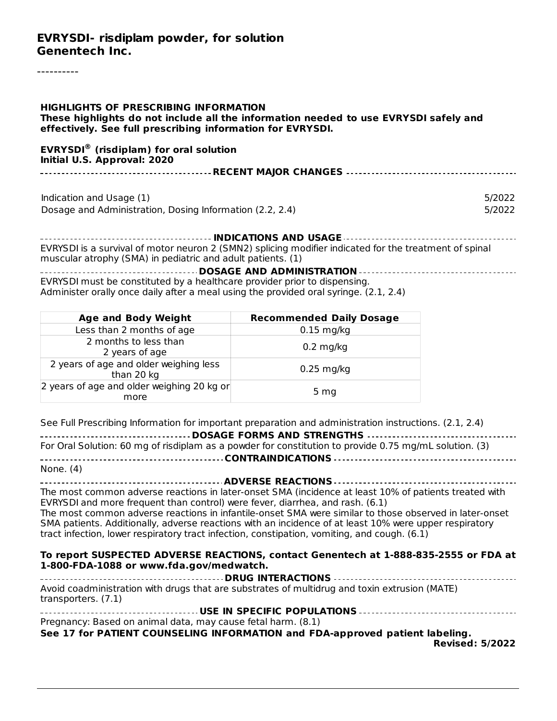#### **EVRYSDI- risdiplam powder, for solution Genentech Inc.**

| <b>HIGHLIGHTS OF PRESCRIBING INFORMATION</b><br>These highlights do not include all the information needed to use EVRYSDI safely and<br>effectively. See full prescribing information for EVRYSDI. |  |
|----------------------------------------------------------------------------------------------------------------------------------------------------------------------------------------------------|--|
| <b>EVRYSDI®</b> (risdiplam) for oral solution<br>Initial U.S. Approval: 2020                                                                                                                       |  |
|                                                                                                                                                                                                    |  |
| Indication and Usage (1)<br>5/2022<br>Dosage and Administration, Dosing Information (2.2, 2.4)<br>5/2022                                                                                           |  |
| EVRYSDI is a survival of motor neuron 2 (SMN2) splicing modifier indicated for the treatment of spinal<br>muscular atrophy (SMA) in pediatric and adult patients. (1)                              |  |
| $EUPVEDI$ must be constituted by a boalthcare provider prior to dispensing                                                                                                                         |  |

EVRYSDI must be constituted by a healthcare provider prior to dispensing. Administer orally once daily after a meal using the provided oral syringe. (2.1, 2.4)

| <b>Age and Body Weight</b>                           | <b>Recommended Daily Dosage</b> |
|------------------------------------------------------|---------------------------------|
| Less than 2 months of age                            | $0.15$ mg/kg                    |
| 2 months to less than<br>2 years of age              | $0.2 \text{ mg/kg}$             |
| 2 years of age and older weighing less<br>than 20 kg | $0.25$ mg/kg                    |
| 2 years of age and older weighing 20 kg or<br>more   | 5 <sub>mg</sub>                 |

See Full Prescribing Information for important preparation and administration instructions. (2.1, 2.4)

| ------------------------------------ DOSAGE FORMS AND STRENGTHS -----------------------------------    |
|--------------------------------------------------------------------------------------------------------|
| For Oral Solution: 60 mg of risdiplam as a powder for constitution to provide 0.75 mg/mL solution. (3) |
|                                                                                                        |
| None. (4)                                                                                              |

**ADVERSE REACTIONS** The most common adverse reactions in later-onset SMA (incidence at least 10% of patients treated with EVRYSDI and more frequent than control) were fever, diarrhea, and rash. (6.1) The most common adverse reactions in infantile-onset SMA were similar to those observed in later-onset SMA patients. Additionally, adverse reactions with an incidence of at least 10% were upper respiratory tract infection, lower respiratory tract infection, constipation, vomiting, and cough. (6.1)

#### **To report SUSPECTED ADVERSE REACTIONS, contact Genentech at 1-888-835-2555 or FDA at 1-800-FDA-1088 or www.fda.gov/medwatch.**

**DRUG INTERACTIONS** Avoid coadministration with drugs that are substrates of multidrug and toxin extrusion (MATE) transporters. (7.1) **USE IN SPECIFIC POPULATIONS**

| Pregnancy: Based on animal data, may cause fetal harm. (8.1)                 |  |
|------------------------------------------------------------------------------|--|
| See 17 for PATIENT COUNSELING INFORMATION and FDA-approved patient labeling. |  |

**Revised: 5/2022**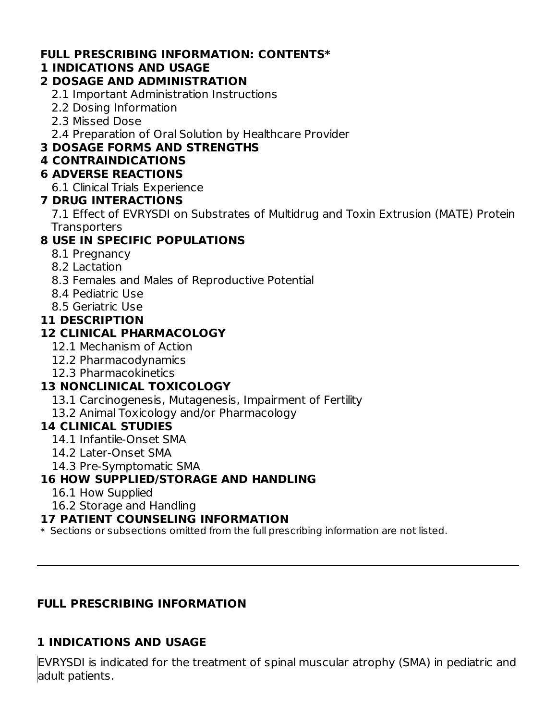#### **FULL PRESCRIBING INFORMATION: CONTENTS\***

#### **1 INDICATIONS AND USAGE**

#### **2 DOSAGE AND ADMINISTRATION**

- 2.1 Important Administration Instructions
- 2.2 Dosing Information
- 2.3 Missed Dose
- 2.4 Preparation of Oral Solution by Healthcare Provider

## **3 DOSAGE FORMS AND STRENGTHS**

#### **4 CONTRAINDICATIONS**

#### **6 ADVERSE REACTIONS**

6.1 Clinical Trials Experience

#### **7 DRUG INTERACTIONS**

7.1 Effect of EVRYSDI on Substrates of Multidrug and Toxin Extrusion (MATE) Protein **Transporters** 

## **8 USE IN SPECIFIC POPULATIONS**

- 8.1 Pregnancy
- 8.2 Lactation
- 8.3 Females and Males of Reproductive Potential
- 8.4 Pediatric Use
- 8.5 Geriatric Use

#### **11 DESCRIPTION**

### **12 CLINICAL PHARMACOLOGY**

- 12.1 Mechanism of Action
- 12.2 Pharmacodynamics
- 12.3 Pharmacokinetics

## **13 NONCLINICAL TOXICOLOGY**

- 13.1 Carcinogenesis, Mutagenesis, Impairment of Fertility
- 13.2 Animal Toxicology and/or Pharmacology

### **14 CLINICAL STUDIES**

- 14.1 Infantile-Onset SMA
- 14.2 Later-Onset SMA
- 14.3 Pre-Symptomatic SMA

### **16 HOW SUPPLIED/STORAGE AND HANDLING**

- 16.1 How Supplied
- 16.2 Storage and Handling

#### **17 PATIENT COUNSELING INFORMATION**

 $\ast$  Sections or subsections omitted from the full prescribing information are not listed.

### **FULL PRESCRIBING INFORMATION**

### **1 INDICATIONS AND USAGE**

EVRYSDI is indicated for the treatment of spinal muscular atrophy (SMA) in pediatric and adult patients.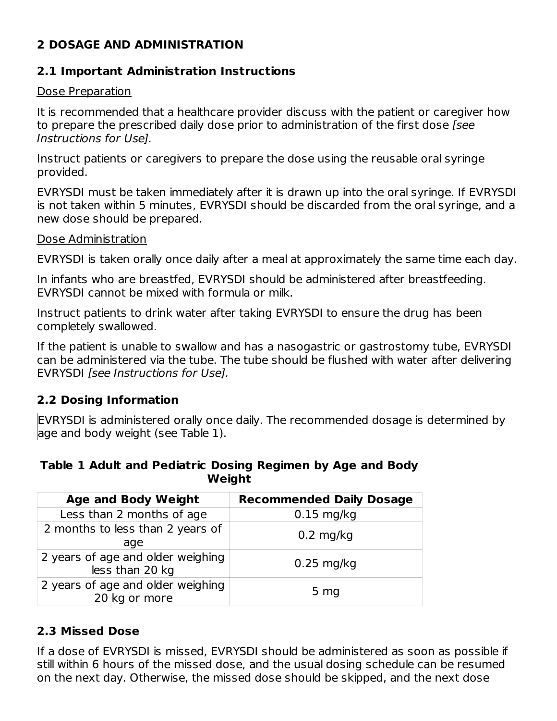## **2 DOSAGE AND ADMINISTRATION**

#### **2.1 Important Administration Instructions**

#### Dose Preparation

It is recommended that a healthcare provider discuss with the patient or caregiver how to prepare the prescribed daily dose prior to administration of the first dose [see Instructions for Use].

Instruct patients or caregivers to prepare the dose using the reusable oral syringe provided.

EVRYSDI must be taken immediately after it is drawn up into the oral syringe. If EVRYSDI is not taken within 5 minutes, EVRYSDI should be discarded from the oral syringe, and a new dose should be prepared.

#### Dose Administration

EVRYSDI is taken orally once daily after a meal at approximately the same time each day.

In infants who are breastfed, EVRYSDI should be administered after breastfeeding. EVRYSDI cannot be mixed with formula or milk.

Instruct patients to drink water after taking EVRYSDI to ensure the drug has been completely swallowed.

If the patient is unable to swallow and has a nasogastric or gastrostomy tube, EVRYSDI can be administered via the tube. The tube should be flushed with water after delivering EVRYSDI *[see Instructions for Use]*.

#### **2.2 Dosing Information**

EVRYSDI is administered orally once daily. The recommended dosage is determined by age and body weight (see Table 1).

#### **Table 1 Adult and Pediatric Dosing Regimen by Age and Body Weight**

| <b>Age and Body Weight</b>                           | <b>Recommended Daily Dosage</b> |
|------------------------------------------------------|---------------------------------|
| Less than 2 months of age                            | $0.15$ mg/kg                    |
| 2 months to less than 2 years of<br>age              | $0.2$ mg/kg                     |
| 2 years of age and older weighing<br>less than 20 kg | $0.25$ mg/kg                    |
| 2 years of age and older weighing<br>20 kg or more   | 5 <sub>mg</sub>                 |

### **2.3 Missed Dose**

If a dose of EVRYSDI is missed, EVRYSDI should be administered as soon as possible if still within 6 hours of the missed dose, and the usual dosing schedule can be resumed on the next day. Otherwise, the missed dose should be skipped, and the next dose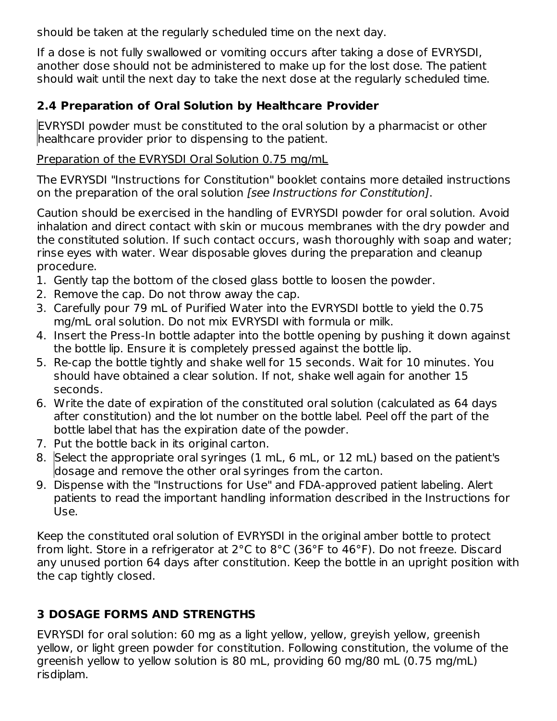should be taken at the regularly scheduled time on the next day.

If a dose is not fully swallowed or vomiting occurs after taking a dose of EVRYSDI, another dose should not be administered to make up for the lost dose. The patient should wait until the next day to take the next dose at the regularly scheduled time.

## **2.4 Preparation of Oral Solution by Healthcare Provider**

EVRYSDI powder must be constituted to the oral solution by a pharmacist or other healthcare provider prior to dispensing to the patient.

#### Preparation of the EVRYSDI Oral Solution 0.75 mg/mL

The EVRYSDI "Instructions for Constitution" booklet contains more detailed instructions on the preparation of the oral solution [see Instructions for Constitution].

Caution should be exercised in the handling of EVRYSDI powder for oral solution. Avoid inhalation and direct contact with skin or mucous membranes with the dry powder and the constituted solution. If such contact occurs, wash thoroughly with soap and water; rinse eyes with water. Wear disposable gloves during the preparation and cleanup procedure.

- 1. Gently tap the bottom of the closed glass bottle to loosen the powder.
- 2. Remove the cap. Do not throw away the cap.
- 3. Carefully pour 79 mL of Purified Water into the EVRYSDI bottle to yield the 0.75 mg/mL oral solution. Do not mix EVRYSDI with formula or milk.
- 4. Insert the Press-In bottle adapter into the bottle opening by pushing it down against the bottle lip. Ensure it is completely pressed against the bottle lip.
- 5. Re-cap the bottle tightly and shake well for 15 seconds. Wait for 10 minutes. You should have obtained a clear solution. If not, shake well again for another 15 seconds.
- 6. Write the date of expiration of the constituted oral solution (calculated as 64 days after constitution) and the lot number on the bottle label. Peel off the part of the bottle label that has the expiration date of the powder.
- 7. Put the bottle back in its original carton.
- 8. Select the appropriate oral syringes (1 mL, 6 mL, or 12 mL) based on the patient's dosage and remove the other oral syringes from the carton.
- 9. Dispense with the "Instructions for Use" and FDA-approved patient labeling. Alert patients to read the important handling information described in the Instructions for Use.

Keep the constituted oral solution of EVRYSDI in the original amber bottle to protect from light. Store in a refrigerator at 2°C to 8°C (36°F to 46°F). Do not freeze. Discard any unused portion 64 days after constitution. Keep the bottle in an upright position with the cap tightly closed.

## **3 DOSAGE FORMS AND STRENGTHS**

EVRYSDI for oral solution: 60 mg as a light yellow, yellow, greyish yellow, greenish yellow, or light green powder for constitution. Following constitution, the volume of the greenish yellow to yellow solution is 80 mL, providing 60 mg/80 mL (0.75 mg/mL) risdiplam.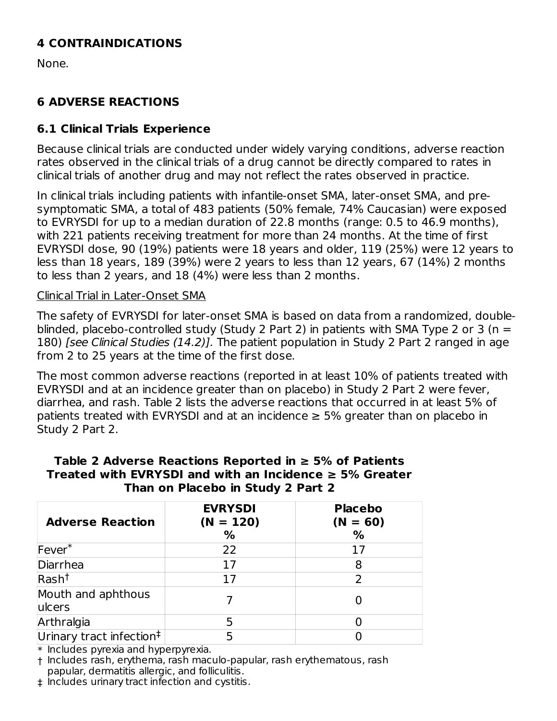## **4 CONTRAINDICATIONS**

None.

## **6 ADVERSE REACTIONS**

#### **6.1 Clinical Trials Experience**

Because clinical trials are conducted under widely varying conditions, adverse reaction rates observed in the clinical trials of a drug cannot be directly compared to rates in clinical trials of another drug and may not reflect the rates observed in practice.

In clinical trials including patients with infantile-onset SMA, later-onset SMA, and presymptomatic SMA, a total of 483 patients (50% female, 74% Caucasian) were exposed to EVRYSDI for up to a median duration of 22.8 months (range: 0.5 to 46.9 months), with 221 patients receiving treatment for more than 24 months. At the time of first EVRYSDI dose, 90 (19%) patients were 18 years and older, 119 (25%) were 12 years to less than 18 years, 189 (39%) were 2 years to less than 12 years, 67 (14%) 2 months to less than 2 years, and 18 (4%) were less than 2 months.

#### Clinical Trial in Later-Onset SMA

The safety of EVRYSDI for later-onset SMA is based on data from a randomized, doubleblinded, placebo-controlled study (Study 2 Part 2) in patients with SMA Type 2 or 3 (n = 180) *[see Clinical Studies (14.2)]*. The patient population in Study 2 Part 2 ranged in age from 2 to 25 years at the time of the first dose.

The most common adverse reactions (reported in at least 10% of patients treated with EVRYSDI and at an incidence greater than on placebo) in Study 2 Part 2 were fever, diarrhea, and rash. Table 2 lists the adverse reactions that occurred in at least 5% of patients treated with EVRYSDI and at an incidence  $\geq$  5% greater than on placebo in Study 2 Part 2.

| <b>Adverse Reaction</b>              | <b>EVRYSDI</b><br>$(N = 120)$<br>% | <b>Placebo</b><br>$(N = 60)$<br>% |
|--------------------------------------|------------------------------------|-----------------------------------|
| $Fever^*$                            | 22                                 | 17                                |
| Diarrhea                             | 17                                 | 8                                 |
| Rash <sup>†</sup>                    | 17                                 | $\mathcal{P}$                     |
| Mouth and aphthous<br>lulcers        |                                    |                                   |
| Arthralgia                           | 5                                  |                                   |
| Urinary tract infection <sup>‡</sup> |                                    |                                   |

#### **Table 2 Adverse Reactions Reported in ≥ 5% of Patients Treated with EVRYSDI and with an Incidence ≥ 5% Greater Than on Placebo in Study 2 Part 2**

\* Includes pyrexia and hyperpyrexia.

† Includes rash, erythema, rash maculo-papular, rash erythematous, rash papular, dermatitis allergic, and folliculitis.

‡ Includes urinary tract infection and cystitis.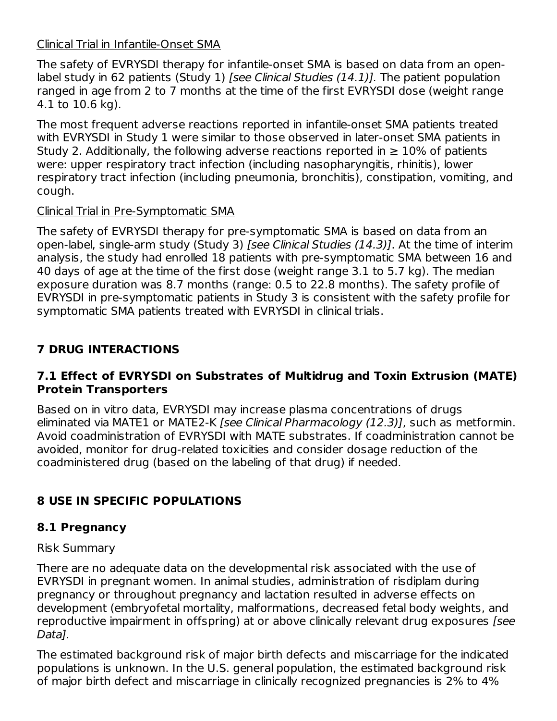## Clinical Trial in Infantile-Onset SMA

The safety of EVRYSDI therapy for infantile-onset SMA is based on data from an openlabel study in 62 patients (Study 1) [see Clinical Studies (14.1)]. The patient population ranged in age from 2 to 7 months at the time of the first EVRYSDI dose (weight range 4.1 to 10.6 kg).

The most frequent adverse reactions reported in infantile-onset SMA patients treated with EVRYSDI in Study 1 were similar to those observed in later-onset SMA patients in Study 2. Additionally, the following adverse reactions reported in  $\geq 10\%$  of patients were: upper respiratory tract infection (including nasopharyngitis, rhinitis), lower respiratory tract infection (including pneumonia, bronchitis), constipation, vomiting, and cough.

### Clinical Trial in Pre-Symptomatic SMA

The safety of EVRYSDI therapy for pre-symptomatic SMA is based on data from an open-label, single-arm study (Study 3) [see Clinical Studies (14.3)]. At the time of interim analysis, the study had enrolled 18 patients with pre-symptomatic SMA between 16 and 40 days of age at the time of the first dose (weight range 3.1 to 5.7 kg). The median exposure duration was 8.7 months (range: 0.5 to 22.8 months). The safety profile of EVRYSDI in pre-symptomatic patients in Study 3 is consistent with the safety profile for symptomatic SMA patients treated with EVRYSDI in clinical trials.

## **7 DRUG INTERACTIONS**

#### **7.1 Effect of EVRYSDI on Substrates of Multidrug and Toxin Extrusion (MATE) Protein Transporters**

Based on in vitro data, EVRYSDI may increase plasma concentrations of drugs eliminated via MATE1 or MATE2-K [see Clinical Pharmacology (12.3)], such as metformin. Avoid coadministration of EVRYSDI with MATE substrates. If coadministration cannot be avoided, monitor for drug-related toxicities and consider dosage reduction of the coadministered drug (based on the labeling of that drug) if needed.

# **8 USE IN SPECIFIC POPULATIONS**

## **8.1 Pregnancy**

#### Risk Summary

There are no adequate data on the developmental risk associated with the use of EVRYSDI in pregnant women. In animal studies, administration of risdiplam during pregnancy or throughout pregnancy and lactation resulted in adverse effects on development (embryofetal mortality, malformations, decreased fetal body weights, and reproductive impairment in offspring) at or above clinically relevant drug exposures [see Data].

The estimated background risk of major birth defects and miscarriage for the indicated populations is unknown. In the U.S. general population, the estimated background risk of major birth defect and miscarriage in clinically recognized pregnancies is 2% to 4%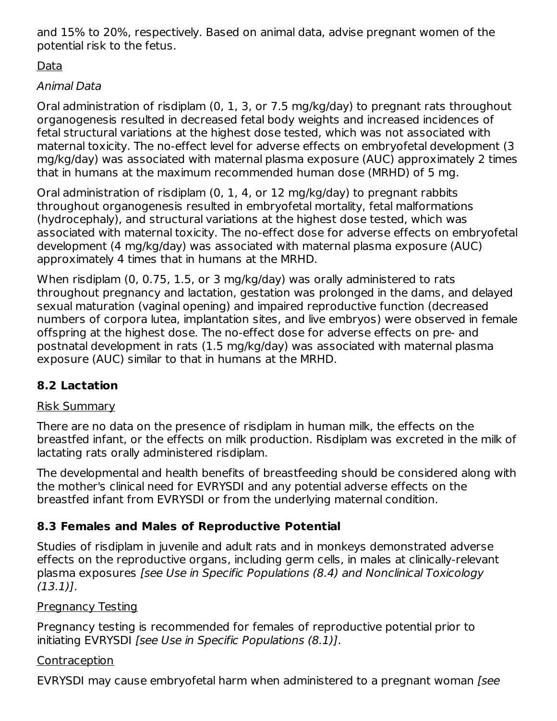and 15% to 20%, respectively. Based on animal data, advise pregnant women of the potential risk to the fetus.

Data

## Animal Data

Oral administration of risdiplam (0, 1, 3, or 7.5 mg/kg/day) to pregnant rats throughout organogenesis resulted in decreased fetal body weights and increased incidences of fetal structural variations at the highest dose tested, which was not associated with maternal toxicity. The no-effect level for adverse effects on embryofetal development (3 mg/kg/day) was associated with maternal plasma exposure (AUC) approximately 2 times that in humans at the maximum recommended human dose (MRHD) of 5 mg.

Oral administration of risdiplam (0, 1, 4, or 12 mg/kg/day) to pregnant rabbits throughout organogenesis resulted in embryofetal mortality, fetal malformations (hydrocephaly), and structural variations at the highest dose tested, which was associated with maternal toxicity. The no-effect dose for adverse effects on embryofetal development (4 mg/kg/day) was associated with maternal plasma exposure (AUC) approximately 4 times that in humans at the MRHD.

When risdiplam (0, 0.75, 1.5, or 3 mg/kg/day) was orally administered to rats throughout pregnancy and lactation, gestation was prolonged in the dams, and delayed sexual maturation (vaginal opening) and impaired reproductive function (decreased numbers of corpora lutea, implantation sites, and live embryos) were observed in female offspring at the highest dose. The no-effect dose for adverse effects on pre- and postnatal development in rats (1.5 mg/kg/day) was associated with maternal plasma exposure (AUC) similar to that in humans at the MRHD.

# **8.2 Lactation**

## Risk Summary

There are no data on the presence of risdiplam in human milk, the effects on the breastfed infant, or the effects on milk production. Risdiplam was excreted in the milk of lactating rats orally administered risdiplam.

The developmental and health benefits of breastfeeding should be considered along with the mother's clinical need for EVRYSDI and any potential adverse effects on the breastfed infant from EVRYSDI or from the underlying maternal condition.

# **8.3 Females and Males of Reproductive Potential**

Studies of risdiplam in juvenile and adult rats and in monkeys demonstrated adverse effects on the reproductive organs, including germ cells, in males at clinically-relevant plasma exposures [see Use in Specific Populations (8.4) and Nonclinical Toxicology (13.1)].

## **Pregnancy Testing**

Pregnancy testing is recommended for females of reproductive potential prior to initiating EVRYSDI [see Use in Specific Populations (8.1)].

## Contraception

EVRYSDI may cause embryofetal harm when administered to a pregnant woman [see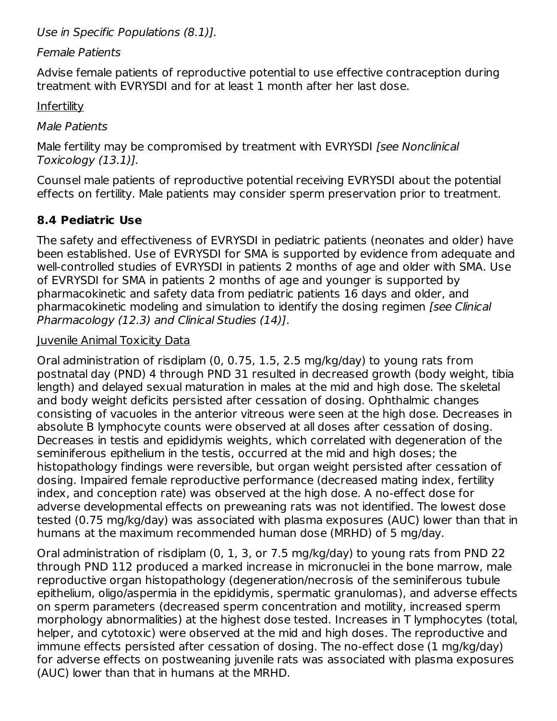Use in Specific Populations (8.1)].

#### Female Patients

Advise female patients of reproductive potential to use effective contraception during treatment with EVRYSDI and for at least 1 month after her last dose.

**Infertility** 

Male Patients

Male fertility may be compromised by treatment with EVRYSDI [see Nonclinical Toxicology (13.1)].

Counsel male patients of reproductive potential receiving EVRYSDI about the potential effects on fertility. Male patients may consider sperm preservation prior to treatment.

## **8.4 Pediatric Use**

The safety and effectiveness of EVRYSDI in pediatric patients (neonates and older) have been established. Use of EVRYSDI for SMA is supported by evidence from adequate and well-controlled studies of EVRYSDI in patients 2 months of age and older with SMA. Use of EVRYSDI for SMA in patients 2 months of age and younger is supported by pharmacokinetic and safety data from pediatric patients 16 days and older, and pharmacokinetic modeling and simulation to identify the dosing regimen [see Clinical Pharmacology (12.3) and Clinical Studies (14)].

### Juvenile Animal Toxicity Data

Oral administration of risdiplam (0, 0.75, 1.5, 2.5 mg/kg/day) to young rats from postnatal day (PND) 4 through PND 31 resulted in decreased growth (body weight, tibia length) and delayed sexual maturation in males at the mid and high dose. The skeletal and body weight deficits persisted after cessation of dosing. Ophthalmic changes consisting of vacuoles in the anterior vitreous were seen at the high dose. Decreases in absolute B lymphocyte counts were observed at all doses after cessation of dosing. Decreases in testis and epididymis weights, which correlated with degeneration of the seminiferous epithelium in the testis, occurred at the mid and high doses; the histopathology findings were reversible, but organ weight persisted after cessation of dosing. Impaired female reproductive performance (decreased mating index, fertility index, and conception rate) was observed at the high dose. A no-effect dose for adverse developmental effects on preweaning rats was not identified. The lowest dose tested (0.75 mg/kg/day) was associated with plasma exposures (AUC) lower than that in humans at the maximum recommended human dose (MRHD) of 5 mg/day.

Oral administration of risdiplam (0, 1, 3, or 7.5 mg/kg/day) to young rats from PND 22 through PND 112 produced a marked increase in micronuclei in the bone marrow, male reproductive organ histopathology (degeneration/necrosis of the seminiferous tubule epithelium, oligo/aspermia in the epididymis, spermatic granulomas), and adverse effects on sperm parameters (decreased sperm concentration and motility, increased sperm morphology abnormalities) at the highest dose tested. Increases in T lymphocytes (total, helper, and cytotoxic) were observed at the mid and high doses. The reproductive and immune effects persisted after cessation of dosing. The no-effect dose (1 mg/kg/day) for adverse effects on postweaning juvenile rats was associated with plasma exposures (AUC) lower than that in humans at the MRHD.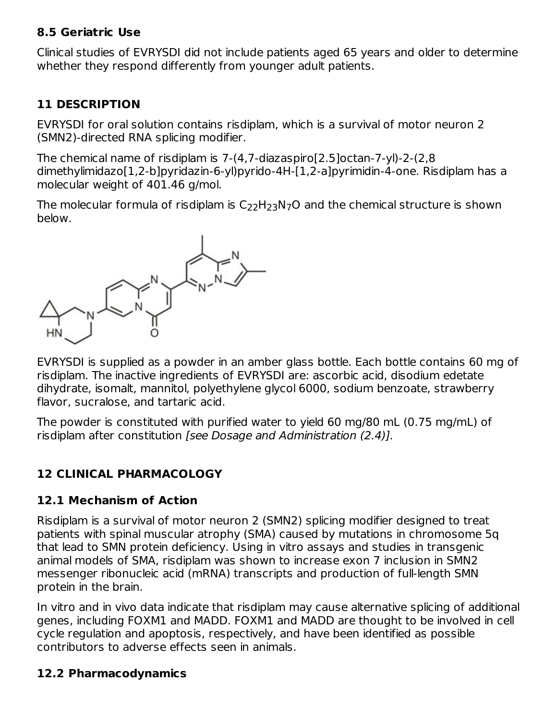#### **8.5 Geriatric Use**

Clinical studies of EVRYSDI did not include patients aged 65 years and older to determine whether they respond differently from younger adult patients.

## **11 DESCRIPTION**

EVRYSDI for oral solution contains risdiplam, which is a survival of motor neuron 2 (SMN2)-directed RNA splicing modifier.

The chemical name of risdiplam is 7-(4,7-diazaspiro[2.5]octan-7-yl)-2-(2,8 dimethylimidazo[1,2-b]pyridazin-6-yl)pyrido-4H-[1,2-a]pyrimidin-4-one. Risdiplam has a molecular weight of 401.46 g/mol.

The molecular formula of risdiplam is  $\mathsf{C}_{22}\mathsf{H}_{23}\mathsf{N}_{7}\mathsf{O}$  and the chemical structure is shown below.



EVRYSDI is supplied as a powder in an amber glass bottle. Each bottle contains 60 mg of risdiplam. The inactive ingredients of EVRYSDI are: ascorbic acid, disodium edetate dihydrate, isomalt, mannitol, polyethylene glycol 6000, sodium benzoate, strawberry flavor, sucralose, and tartaric acid.

The powder is constituted with purified water to yield 60 mg/80 mL (0.75 mg/mL) of risdiplam after constitution [see Dosage and Administration (2.4)].

## **12 CLINICAL PHARMACOLOGY**

### **12.1 Mechanism of Action**

Risdiplam is a survival of motor neuron 2 (SMN2) splicing modifier designed to treat patients with spinal muscular atrophy (SMA) caused by mutations in chromosome 5q that lead to SMN protein deficiency. Using in vitro assays and studies in transgenic animal models of SMA, risdiplam was shown to increase exon 7 inclusion in SMN2 messenger ribonucleic acid (mRNA) transcripts and production of full-length SMN protein in the brain.

In vitro and in vivo data indicate that risdiplam may cause alternative splicing of additional genes, including FOXM1 and MADD. FOXM1 and MADD are thought to be involved in cell cycle regulation and apoptosis, respectively, and have been identified as possible contributors to adverse effects seen in animals.

## **12.2 Pharmacodynamics**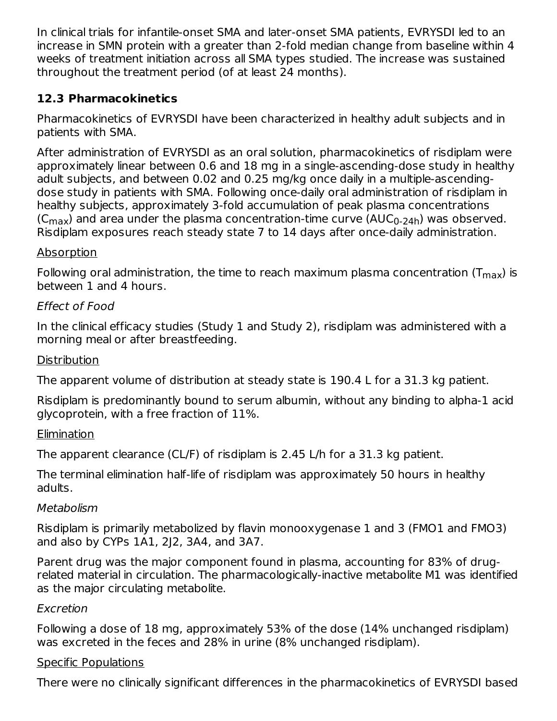In clinical trials for infantile-onset SMA and later-onset SMA patients, EVRYSDI led to an increase in SMN protein with a greater than 2-fold median change from baseline within 4 weeks of treatment initiation across all SMA types studied. The increase was sustained throughout the treatment period (of at least 24 months).

## **12.3 Pharmacokinetics**

Pharmacokinetics of EVRYSDI have been characterized in healthy adult subjects and in patients with SMA.

After administration of EVRYSDI as an oral solution, pharmacokinetics of risdiplam were approximately linear between 0.6 and 18 mg in a single-ascending-dose study in healthy adult subjects, and between 0.02 and 0.25 mg/kg once daily in a multiple-ascendingdose study in patients with SMA. Following once-daily oral administration of risdiplam in healthy subjects, approximately 3-fold accumulation of peak plasma concentrations (C $_{\sf max}$ ) and area under the plasma concentration-time curve (AUC $_{\sf 0\text{-}24h}$ ) was observed. Risdiplam exposures reach steady state 7 to 14 days after once-daily administration.

## Absorption

Following oral administration, the time to reach maximum plasma concentration (T $_{\sf max}$ ) is between 1 and 4 hours.

## Effect of Food

In the clinical efficacy studies (Study 1 and Study 2), risdiplam was administered with a morning meal or after breastfeeding.

#### **Distribution**

The apparent volume of distribution at steady state is 190.4 L for a 31.3 kg patient.

Risdiplam is predominantly bound to serum albumin, without any binding to alpha-1 acid glycoprotein, with a free fraction of 11%.

### Elimination

The apparent clearance (CL/F) of risdiplam is 2.45 L/h for a 31.3 kg patient.

The terminal elimination half-life of risdiplam was approximately 50 hours in healthy adults.

### Metabolism

Risdiplam is primarily metabolized by flavin monooxygenase 1 and 3 (FMO1 and FMO3) and also by CYPs 1A1, 2J2, 3A4, and 3A7.

Parent drug was the major component found in plasma, accounting for 83% of drugrelated material in circulation. The pharmacologically-inactive metabolite M1 was identified as the major circulating metabolite.

### Excretion

Following a dose of 18 mg, approximately 53% of the dose (14% unchanged risdiplam) was excreted in the feces and 28% in urine (8% unchanged risdiplam).

### Specific Populations

There were no clinically significant differences in the pharmacokinetics of EVRYSDI based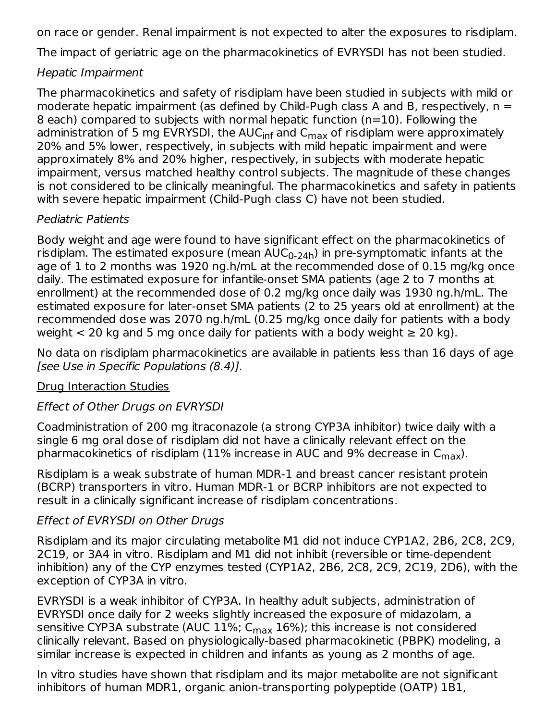on race or gender. Renal impairment is not expected to alter the exposures to risdiplam.

The impact of geriatric age on the pharmacokinetics of EVRYSDI has not been studied.

#### Hepatic Impairment

The pharmacokinetics and safety of risdiplam have been studied in subjects with mild or moderate hepatic impairment (as defined by Child-Pugh class A and B, respectively,  $n =$ 8 each) compared to subjects with normal hepatic function (n=10). Following the administration of 5 mg EVRYSDI, the AUC<sub>inf</sub> and C<sub>max</sub> of risdiplam were approximately 20% and 5% lower, respectively, in subjects with mild hepatic impairment and were approximately 8% and 20% higher, respectively, in subjects with moderate hepatic impairment, versus matched healthy control subjects. The magnitude of these changes is not considered to be clinically meaningful. The pharmacokinetics and safety in patients with severe hepatic impairment (Child-Pugh class C) have not been studied.

#### Pediatric Patients

Body weight and age were found to have significant effect on the pharmacokinetics of risdiplam. The estimated exposure (mean  $\mathsf{AUC}_{0\text{-}24\mathsf{h}}$ ) in pre-symptomatic infants at the age of 1 to 2 months was 1920 ng.h/mL at the recommended dose of 0.15 mg/kg once daily. The estimated exposure for infantile-onset SMA patients (age 2 to 7 months at enrollment) at the recommended dose of 0.2 mg/kg once daily was 1930 ng.h/mL. The estimated exposure for later-onset SMA patients (2 to 25 years old at enrollment) at the recommended dose was 2070 ng.h/mL (0.25 mg/kg once daily for patients with a body weight  $<$  20 kg and 5 mg once daily for patients with a body weight  $\geq$  20 kg).

No data on risdiplam pharmacokinetics are available in patients less than 16 days of age [see Use in Specific Populations (8.4)].

### Drug Interaction Studies

### Effect of Other Drugs on EVRYSDI

Coadministration of 200 mg itraconazole (a strong CYP3A inhibitor) twice daily with a single 6 mg oral dose of risdiplam did not have a clinically relevant effect on the pharmacokinetics of risdiplam (11% increase in AUC and 9% decrease in C $_{\sf max}$ ).

Risdiplam is a weak substrate of human MDR-1 and breast cancer resistant protein (BCRP) transporters in vitro. Human MDR-1 or BCRP inhibitors are not expected to result in a clinically significant increase of risdiplam concentrations.

#### Effect of EVRYSDI on Other Drugs

Risdiplam and its major circulating metabolite M1 did not induce CYP1A2, 2B6, 2C8, 2C9, 2C19, or 3A4 in vitro. Risdiplam and M1 did not inhibit (reversible or time-dependent inhibition) any of the CYP enzymes tested (CYP1A2, 2B6, 2C8, 2C9, 2C19, 2D6), with the exception of CYP3A in vitro.

EVRYSDI is a weak inhibitor of CYP3A. In healthy adult subjects, administration of EVRYSDI once daily for 2 weeks slightly increased the exposure of midazolam, a sensitive CYP3A substrate (AUC 11%; C<sub>max</sub> 16%); this increase is not considered clinically relevant. Based on physiologically-based pharmacokinetic (PBPK) modeling, a similar increase is expected in children and infants as young as 2 months of age.

In vitro studies have shown that risdiplam and its major metabolite are not significant inhibitors of human MDR1, organic anion-transporting polypeptide (OATP) 1B1,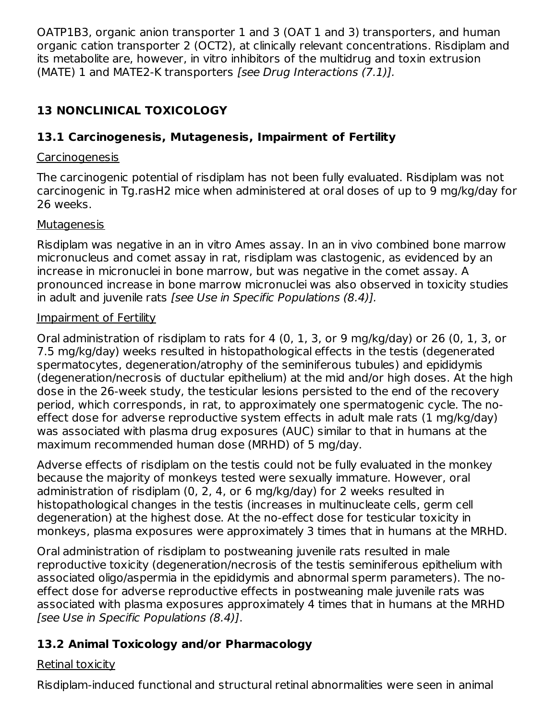OATP1B3, organic anion transporter 1 and 3 (OAT 1 and 3) transporters, and human organic cation transporter 2 (OCT2), at clinically relevant concentrations. Risdiplam and its metabolite are, however, in vitro inhibitors of the multidrug and toxin extrusion (MATE) 1 and MATE2-K transporters [see Drug Interactions (7.1)].

## **13 NONCLINICAL TOXICOLOGY**

## **13.1 Carcinogenesis, Mutagenesis, Impairment of Fertility**

### Carcinogenesis

The carcinogenic potential of risdiplam has not been fully evaluated. Risdiplam was not carcinogenic in Tg.rasH2 mice when administered at oral doses of up to 9 mg/kg/day for 26 weeks.

#### **Mutagenesis**

Risdiplam was negative in an in vitro Ames assay. In an in vivo combined bone marrow micronucleus and comet assay in rat, risdiplam was clastogenic, as evidenced by an increase in micronuclei in bone marrow, but was negative in the comet assay. A pronounced increase in bone marrow micronuclei was also observed in toxicity studies in adult and juvenile rats [see Use in Specific Populations (8.4)].

#### Impairment of Fertility

Oral administration of risdiplam to rats for 4 (0, 1, 3, or 9 mg/kg/day) or 26 (0, 1, 3, or 7.5 mg/kg/day) weeks resulted in histopathological effects in the testis (degenerated spermatocytes, degeneration/atrophy of the seminiferous tubules) and epididymis (degeneration/necrosis of ductular epithelium) at the mid and/or high doses. At the high dose in the 26-week study, the testicular lesions persisted to the end of the recovery period, which corresponds, in rat, to approximately one spermatogenic cycle. The noeffect dose for adverse reproductive system effects in adult male rats (1 mg/kg/day) was associated with plasma drug exposures (AUC) similar to that in humans at the maximum recommended human dose (MRHD) of 5 mg/day.

Adverse effects of risdiplam on the testis could not be fully evaluated in the monkey because the majority of monkeys tested were sexually immature. However, oral administration of risdiplam (0, 2, 4, or 6 mg/kg/day) for 2 weeks resulted in histopathological changes in the testis (increases in multinucleate cells, germ cell degeneration) at the highest dose. At the no-effect dose for testicular toxicity in monkeys, plasma exposures were approximately 3 times that in humans at the MRHD.

Oral administration of risdiplam to postweaning juvenile rats resulted in male reproductive toxicity (degeneration/necrosis of the testis seminiferous epithelium with associated oligo/aspermia in the epididymis and abnormal sperm parameters). The noeffect dose for adverse reproductive effects in postweaning male juvenile rats was associated with plasma exposures approximately 4 times that in humans at the MRHD [see Use in Specific Populations (8.4)].

## **13.2 Animal Toxicology and/or Pharmacology**

### Retinal toxicity

Risdiplam-induced functional and structural retinal abnormalities were seen in animal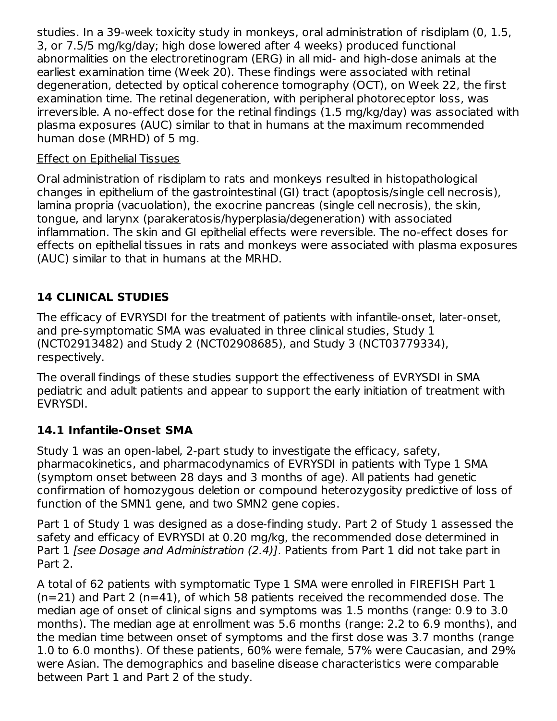studies. In a 39-week toxicity study in monkeys, oral administration of risdiplam (0, 1.5, 3, or 7.5/5 mg/kg/day; high dose lowered after 4 weeks) produced functional abnormalities on the electroretinogram (ERG) in all mid- and high-dose animals at the earliest examination time (Week 20). These findings were associated with retinal degeneration, detected by optical coherence tomography (OCT), on Week 22, the first examination time. The retinal degeneration, with peripheral photoreceptor loss, was irreversible. A no-effect dose for the retinal findings (1.5 mg/kg/day) was associated with plasma exposures (AUC) similar to that in humans at the maximum recommended human dose (MRHD) of 5 mg.

#### Effect on Epithelial Tissues

Oral administration of risdiplam to rats and monkeys resulted in histopathological changes in epithelium of the gastrointestinal (GI) tract (apoptosis/single cell necrosis), lamina propria (vacuolation), the exocrine pancreas (single cell necrosis), the skin, tongue, and larynx (parakeratosis/hyperplasia/degeneration) with associated inflammation. The skin and GI epithelial effects were reversible. The no-effect doses for effects on epithelial tissues in rats and monkeys were associated with plasma exposures (AUC) similar to that in humans at the MRHD.

## **14 CLINICAL STUDIES**

The efficacy of EVRYSDI for the treatment of patients with infantile-onset, later-onset, and pre-symptomatic SMA was evaluated in three clinical studies, Study 1 (NCT02913482) and Study 2 (NCT02908685), and Study 3 (NCT03779334), respectively.

The overall findings of these studies support the effectiveness of EVRYSDI in SMA pediatric and adult patients and appear to support the early initiation of treatment with EVRYSDI.

## **14.1 Infantile-Onset SMA**

Study 1 was an open-label, 2-part study to investigate the efficacy, safety, pharmacokinetics, and pharmacodynamics of EVRYSDI in patients with Type 1 SMA (symptom onset between 28 days and 3 months of age). All patients had genetic confirmation of homozygous deletion or compound heterozygosity predictive of loss of function of the SMN1 gene, and two SMN2 gene copies.

Part 1 of Study 1 was designed as a dose-finding study. Part 2 of Study 1 assessed the safety and efficacy of EVRYSDI at 0.20 mg/kg, the recommended dose determined in Part 1 [see Dosage and Administration (2.4)]. Patients from Part 1 did not take part in Part 2.

A total of 62 patients with symptomatic Type 1 SMA were enrolled in FIREFISH Part 1  $(n=21)$  and Part 2 (n=41), of which 58 patients received the recommended dose. The median age of onset of clinical signs and symptoms was 1.5 months (range: 0.9 to 3.0 months). The median age at enrollment was 5.6 months (range: 2.2 to 6.9 months), and the median time between onset of symptoms and the first dose was 3.7 months (range 1.0 to 6.0 months). Of these patients, 60% were female, 57% were Caucasian, and 29% were Asian. The demographics and baseline disease characteristics were comparable between Part 1 and Part 2 of the study.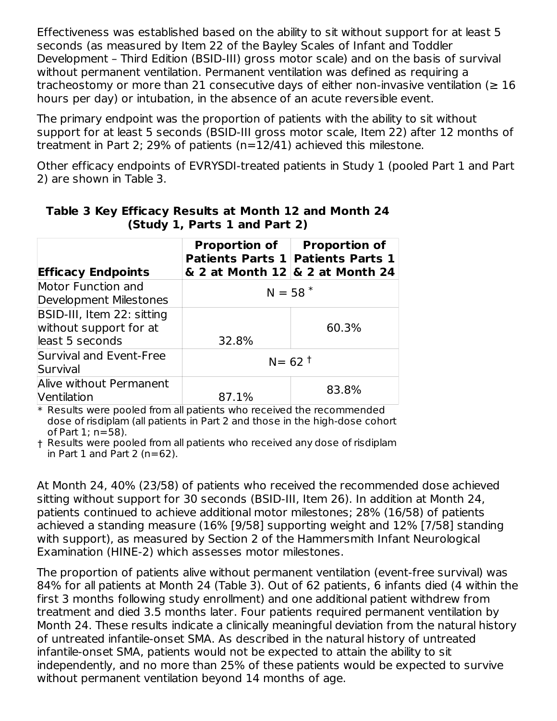Effectiveness was established based on the ability to sit without support for at least 5 seconds (as measured by Item 22 of the Bayley Scales of Infant and Toddler Development – Third Edition (BSID-III) gross motor scale) and on the basis of survival without permanent ventilation. Permanent ventilation was defined as requiring a tracheostomy or more than 21 consecutive days of either non-invasive ventilation ( $\geq 16$ ) hours per day) or intubation, in the absence of an acute reversible event.

The primary endpoint was the proportion of patients with the ability to sit without support for at least 5 seconds (BSID-III gross motor scale, Item 22) after 12 months of treatment in Part 2; 29% of patients (n=12/41) achieved this milestone.

Other efficacy endpoints of EVRYSDI-treated patients in Study 1 (pooled Part 1 and Part 2) are shown in Table 3.

| <b>Efficacy Endpoints</b>                                               | <b>Proportion of</b><br><b>Patients Parts 1</b> | <b>Proportion of</b><br><b>Patients Parts 1</b><br>$\&$ 2 at Month 12 $\&$ 2 at Month 24 |
|-------------------------------------------------------------------------|-------------------------------------------------|------------------------------------------------------------------------------------------|
| Motor Function and<br>Development Milestones                            | $N = 58$ <sup>*</sup>                           |                                                                                          |
| BSID-III, Item 22: sitting<br>without support for at<br>least 5 seconds | 32.8%                                           | 60.3%                                                                                    |
| Survival and Event-Free<br>Survival                                     |                                                 | $N = 62$ <sup>†</sup>                                                                    |
| Alive without Permanent<br>Ventilation                                  | 87.1%                                           | 83.8%                                                                                    |

**Table 3 Key Efficacy Results at Month 12 and Month 24 (Study 1, Parts 1 and Part 2)**

 $\ast$  Results were pooled from all patients who received the recommended dose of risdiplam (all patients in Part 2 and those in the high-dose cohort of Part 1; n=58).

† Results were pooled from all patients who received any dose of risdiplam in Part 1 and Part 2 ( $n=62$ ).

At Month 24, 40% (23/58) of patients who received the recommended dose achieved sitting without support for 30 seconds (BSID-III, Item 26). In addition at Month 24, patients continued to achieve additional motor milestones; 28% (16/58) of patients achieved a standing measure (16% [9/58] supporting weight and 12% [7/58] standing with support), as measured by Section 2 of the Hammersmith Infant Neurological Examination (HINE-2) which assesses motor milestones.

The proportion of patients alive without permanent ventilation (event-free survival) was 84% for all patients at Month 24 (Table 3). Out of 62 patients, 6 infants died (4 within the first 3 months following study enrollment) and one additional patient withdrew from treatment and died 3.5 months later. Four patients required permanent ventilation by Month 24. These results indicate a clinically meaningful deviation from the natural history of untreated infantile-onset SMA. As described in the natural history of untreated infantile-onset SMA, patients would not be expected to attain the ability to sit independently, and no more than 25% of these patients would be expected to survive without permanent ventilation beyond 14 months of age.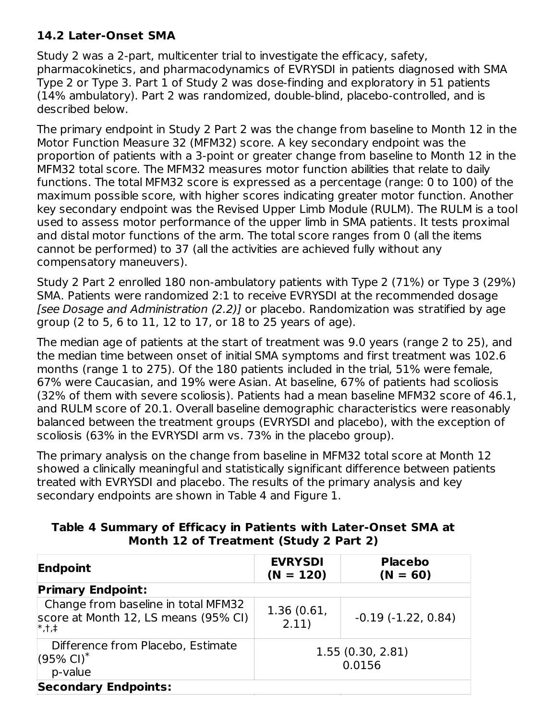#### **14.2 Later-Onset SMA**

Study 2 was a 2-part, multicenter trial to investigate the efficacy, safety, pharmacokinetics, and pharmacodynamics of EVRYSDI in patients diagnosed with SMA Type 2 or Type 3. Part 1 of Study 2 was dose-finding and exploratory in 51 patients (14% ambulatory). Part 2 was randomized, double-blind, placebo-controlled, and is described below.

The primary endpoint in Study 2 Part 2 was the change from baseline to Month 12 in the Motor Function Measure 32 (MFM32) score. A key secondary endpoint was the proportion of patients with a 3-point or greater change from baseline to Month 12 in the MFM32 total score. The MFM32 measures motor function abilities that relate to daily functions. The total MFM32 score is expressed as a percentage (range: 0 to 100) of the maximum possible score, with higher scores indicating greater motor function. Another key secondary endpoint was the Revised Upper Limb Module (RULM). The RULM is a tool used to assess motor performance of the upper limb in SMA patients. It tests proximal and distal motor functions of the arm. The total score ranges from 0 (all the items cannot be performed) to 37 (all the activities are achieved fully without any compensatory maneuvers).

Study 2 Part 2 enrolled 180 non-ambulatory patients with Type 2 (71%) or Type 3 (29%) SMA. Patients were randomized 2:1 to receive EVRYSDI at the recommended dosage [see Dosage and Administration (2.2)] or placebo. Randomization was stratified by age group (2 to 5, 6 to 11, 12 to 17, or 18 to 25 years of age).

The median age of patients at the start of treatment was 9.0 years (range 2 to 25), and the median time between onset of initial SMA symptoms and first treatment was 102.6 months (range 1 to 275). Of the 180 patients included in the trial, 51% were female, 67% were Caucasian, and 19% were Asian. At baseline, 67% of patients had scoliosis (32% of them with severe scoliosis). Patients had a mean baseline MFM32 score of 46.1, and RULM score of 20.1. Overall baseline demographic characteristics were reasonably balanced between the treatment groups (EVRYSDI and placebo), with the exception of scoliosis (63% in the EVRYSDI arm vs. 73% in the placebo group).

The primary analysis on the change from baseline in MFM32 total score at Month 12 showed a clinically meaningful and statistically significant difference between patients treated with EVRYSDI and placebo. The results of the primary analysis and key secondary endpoints are shown in Table 4 and Figure 1.

#### **Table 4 Summary of Efficacy in Patients with Later-Onset SMA at Month 12 of Treatment (Study 2 Part 2)**

| Endpoint                                                                                | <b>EVRYSDI</b><br>$(N = 120)$ | <b>Placebo</b><br>$(N = 60)$ |
|-----------------------------------------------------------------------------------------|-------------------------------|------------------------------|
| <b>Primary Endpoint:</b>                                                                |                               |                              |
| Change from baseline in total MFM32<br>score at Month 12, LS means (95% CI)<br>$ *,+,+$ | 1.36(0.61,<br>2.11)           | $-0.19(-1.22, 0.84)$         |
| Difference from Placebo, Estimate<br>$(95\% \text{ Cl})^*$<br>p-value                   |                               | 1.55(0.30, 2.81)<br>0.0156   |
| <b>Secondary Endpoints:</b>                                                             |                               |                              |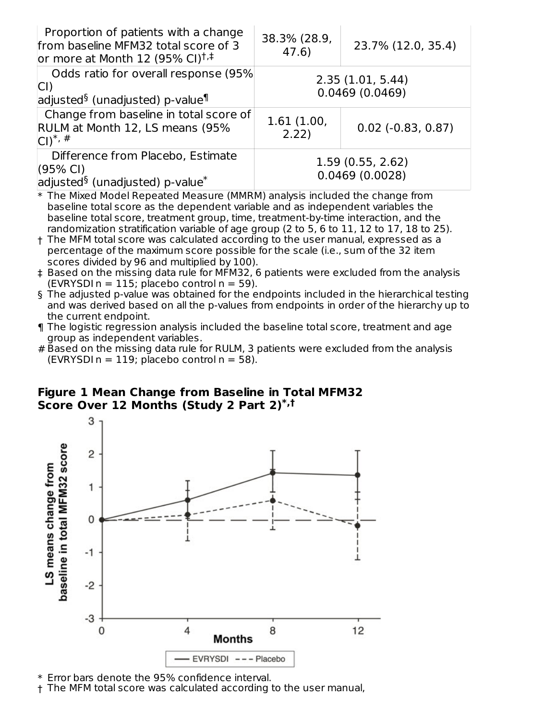| Proportion of patients with a change<br>from baseline MFM32 total score of 3<br>or more at Month 12 (95% CI) <sup><math>\dagger</math>,<math>\dagger</math></sup> | 38.3% (28.9,<br>47.6) | 23.7% (12.0, 35.4)                 |
|-------------------------------------------------------------------------------------------------------------------------------------------------------------------|-----------------------|------------------------------------|
| Odds ratio for overall response (95%)<br>$ CI\rangle$<br>adjusted <sup>§</sup> (unadjusted) p-value <sup>¶</sup>                                                  |                       | 2.35(1.01, 5.44)<br>0.0469(0.0469) |
| Change from baseline in total score of<br>RULM at Month 12, LS means (95%<br>$Cl^*,#$                                                                             | 1.61(1.00,<br>2.22)   | $0.02$ ( $-0.83$ , $0.87$ )        |
| Difference from Placebo, Estimate<br>$(95% \text{ Cl})$<br>adjusted <sup>§</sup> (unadjusted) p-value <sup>*</sup>                                                |                       | 1.59(0.55, 2.62)<br>0.0469(0.0028) |
| * The Mixed Model Repeated Measure (MMRM) analysis included the change from                                                                                       |                       |                                    |

\* baseline total score as the dependent variable and as independent variables the baseline total score, treatment group, time, treatment-by-time interaction, and the randomization stratification variable of age group (2 to 5, 6 to 11, 12 to 17, 18 to 25).

- † The MFM total score was calculated according to the user manual, expressed as a percentage of the maximum score possible for the scale (i.e., sum of the 32 item scores divided by 96 and multiplied by 100).
- ‡ Based on the missing data rule for MFM32, 6 patients were excluded from the analysis  $(EVRYSDI n = 115; placebo control n = 59).$
- § The adjusted p-value was obtained for the endpoints included in the hierarchical testing and was derived based on all the p-values from endpoints in order of the hierarchy up to the current endpoint.
- ¶ The logistic regression analysis included the baseline total score, treatment and age group as independent variables.
- # Based on the missing data rule for RULM, 3 patients were excluded from the analysis  $(EVRYSDI n = 119; placebo control n = 58).$

#### **Figure 1 Mean Change from Baseline in Total MFM32 Score Over 12 Months (Study 2 Part 2) \*,†**



\* Error bars denote the 95% confidence interval.

† The MFM total score was calculated according to the user manual,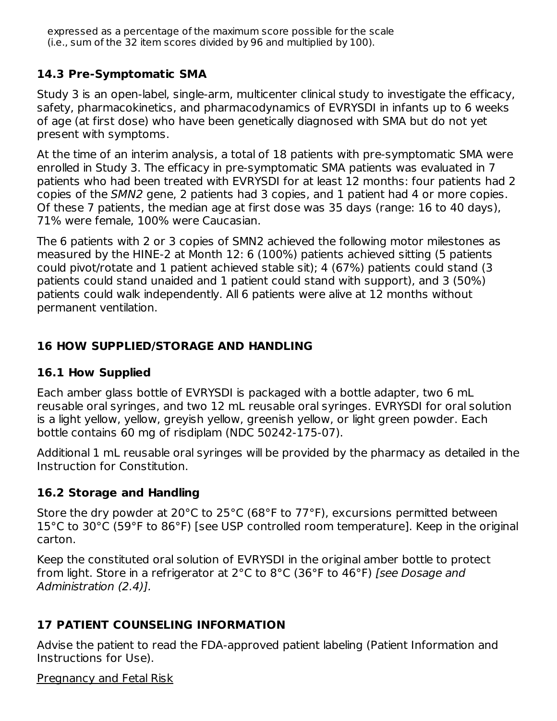expressed as a percentage of the maximum score possible for the scale (i.e., sum of the 32 item scores divided by 96 and multiplied by 100).

#### **14.3 Pre-Symptomatic SMA**

†

Study 3 is an open-label, single-arm, multicenter clinical study to investigate the efficacy, safety, pharmacokinetics, and pharmacodynamics of EVRYSDI in infants up to 6 weeks of age (at first dose) who have been genetically diagnosed with SMA but do not yet present with symptoms.

At the time of an interim analysis, a total of 18 patients with pre-symptomatic SMA were enrolled in Study 3. The efficacy in pre-symptomatic SMA patients was evaluated in 7 patients who had been treated with EVRYSDI for at least 12 months: four patients had 2 copies of the SMN2 gene, 2 patients had 3 copies, and 1 patient had 4 or more copies. Of these 7 patients, the median age at first dose was 35 days (range: 16 to 40 days), 71% were female, 100% were Caucasian.

The 6 patients with 2 or 3 copies of SMN2 achieved the following motor milestones as measured by the HINE-2 at Month 12: 6 (100%) patients achieved sitting (5 patients could pivot/rotate and 1 patient achieved stable sit); 4 (67%) patients could stand (3 patients could stand unaided and 1 patient could stand with support), and 3 (50%) patients could walk independently. All 6 patients were alive at 12 months without permanent ventilation.

#### **16 HOW SUPPLIED/STORAGE AND HANDLING**

#### **16.1 How Supplied**

Each amber glass bottle of EVRYSDI is packaged with a bottle adapter, two 6 mL reusable oral syringes, and two 12 mL reusable oral syringes. EVRYSDI for oral solution is a light yellow, yellow, greyish yellow, greenish yellow, or light green powder. Each bottle contains 60 mg of risdiplam (NDC 50242-175-07).

Additional 1 mL reusable oral syringes will be provided by the pharmacy as detailed in the Instruction for Constitution.

#### **16.2 Storage and Handling**

Store the dry powder at 20°C to 25°C (68°F to 77°F), excursions permitted between 15°C to 30°C (59°F to 86°F) [see USP controlled room temperature]. Keep in the original carton.

Keep the constituted oral solution of EVRYSDI in the original amber bottle to protect from light. Store in a refrigerator at 2°C to 8°C (36°F to 46°F) [see Dosage and Administration (2.4)].

### **17 PATIENT COUNSELING INFORMATION**

Advise the patient to read the FDA-approved patient labeling (Patient Information and Instructions for Use).

#### Pregnancy and Fetal Risk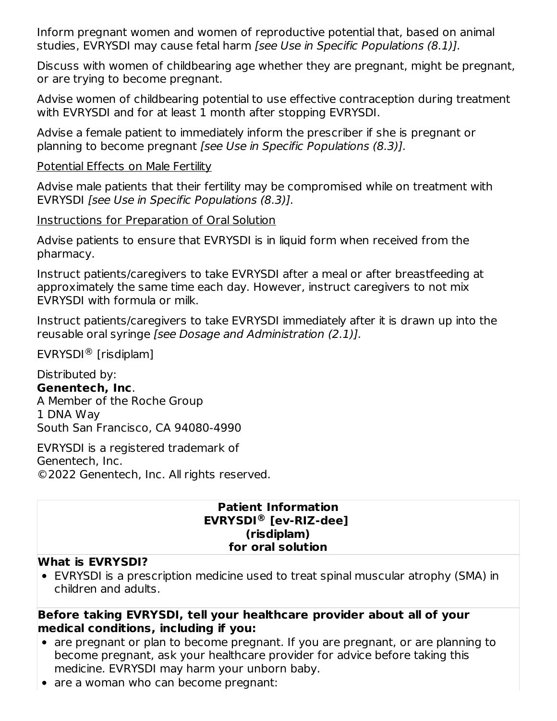Inform pregnant women and women of reproductive potential that, based on animal studies, EVRYSDI may cause fetal harm [see Use in Specific Populations (8.1)].

Discuss with women of childbearing age whether they are pregnant, might be pregnant, or are trying to become pregnant.

Advise women of childbearing potential to use effective contraception during treatment with EVRYSDI and for at least 1 month after stopping EVRYSDI.

Advise a female patient to immediately inform the prescriber if she is pregnant or planning to become pregnant [see Use in Specific Populations (8.3)].

Potential Effects on Male Fertility

Advise male patients that their fertility may be compromised while on treatment with EVRYSDI [see Use in Specific Populations (8.3)].

Instructions for Preparation of Oral Solution

Advise patients to ensure that EVRYSDI is in liquid form when received from the pharmacy.

Instruct patients/caregivers to take EVRYSDI after a meal or after breastfeeding at approximately the same time each day. However, instruct caregivers to not mix EVRYSDI with formula or milk.

Instruct patients/caregivers to take EVRYSDI immediately after it is drawn up into the reusable oral syringe [see Dosage and Administration (2.1)].

EVRYSDI<sup>®</sup> [risdiplam]

Distributed by: **Genentech, Inc**. A Member of the Roche Group 1 DNA Way South San Francisco, CA 94080-4990

EVRYSDI is a registered trademark of Genentech, Inc. ©2022 Genentech, Inc. All rights reserved.

#### **Patient Information EVRYSDI [ev-RIZ-dee] ®(risdiplam) for oral solution**

#### **What is EVRYSDI?**

EVRYSDI is a prescription medicine used to treat spinal muscular atrophy (SMA) in children and adults.

#### **Before taking EVRYSDI, tell your healthcare provider about all of your medical conditions, including if you:**

- are pregnant or plan to become pregnant. If you are pregnant, or are planning to become pregnant, ask your healthcare provider for advice before taking this medicine. EVRYSDI may harm your unborn baby.
- are a woman who can become pregnant: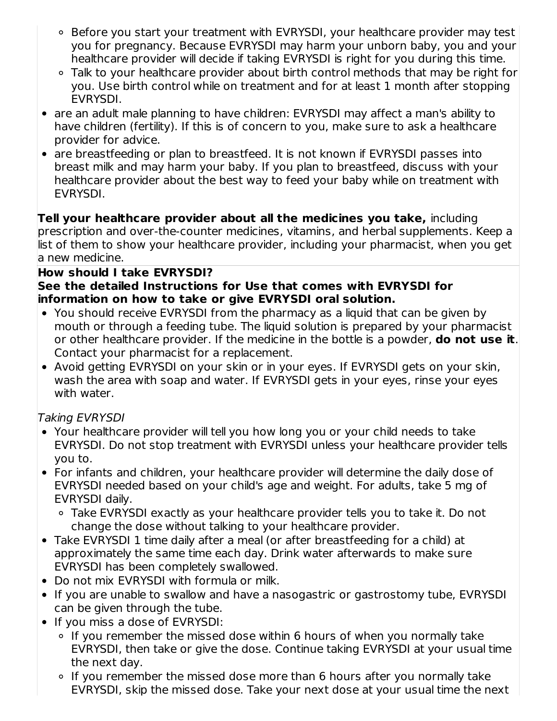- Before you start your treatment with EVRYSDI, your healthcare provider may test you for pregnancy. Because EVRYSDI may harm your unborn baby, you and your healthcare provider will decide if taking EVRYSDI is right for you during this time.
- Talk to your healthcare provider about birth control methods that may be right for you. Use birth control while on treatment and for at least 1 month after stopping EVRYSDI.
- are an adult male planning to have children: EVRYSDI may affect a man's ability to have children (fertility). If this is of concern to you, make sure to ask a healthcare provider for advice.
- are breastfeeding or plan to breastfeed. It is not known if EVRYSDI passes into breast milk and may harm your baby. If you plan to breastfeed, discuss with your healthcare provider about the best way to feed your baby while on treatment with EVRYSDI.

**Tell your healthcare provider about all the medicines you take,** including prescription and over-the-counter medicines, vitamins, and herbal supplements. Keep a list of them to show your healthcare provider, including your pharmacist, when you get a new medicine.

## **How should I take EVRYSDI?**

#### **See the detailed Instructions for Use that comes with EVRYSDI for information on how to take or give EVRYSDI oral solution.**

- You should receive EVRYSDI from the pharmacy as a liquid that can be given by mouth or through a feeding tube. The liquid solution is prepared by your pharmacist or other healthcare provider. If the medicine in the bottle is a powder, **do not use it**. Contact your pharmacist for a replacement.
- Avoid getting EVRYSDI on your skin or in your eyes. If EVRYSDI gets on your skin, wash the area with soap and water. If EVRYSDI gets in your eyes, rinse your eyes with water.

### Taking EVRYSDI

- Your healthcare provider will tell you how long you or your child needs to take EVRYSDI. Do not stop treatment with EVRYSDI unless your healthcare provider tells you to.
- For infants and children, your healthcare provider will determine the daily dose of EVRYSDI needed based on your child's age and weight. For adults, take 5 mg of EVRYSDI daily.
	- Take EVRYSDI exactly as your healthcare provider tells you to take it. Do not change the dose without talking to your healthcare provider.
- Take EVRYSDI 1 time daily after a meal (or after breastfeeding for a child) at approximately the same time each day. Drink water afterwards to make sure EVRYSDI has been completely swallowed.
- Do not mix EVRYSDI with formula or milk.
- If you are unable to swallow and have a nasogastric or gastrostomy tube, EVRYSDI can be given through the tube.
- If you miss a dose of EVRYSDI:
	- If you remember the missed dose within 6 hours of when you normally take EVRYSDI, then take or give the dose. Continue taking EVRYSDI at your usual time the next day.
	- If you remember the missed dose more than 6 hours after you normally take EVRYSDI, skip the missed dose. Take your next dose at your usual time the next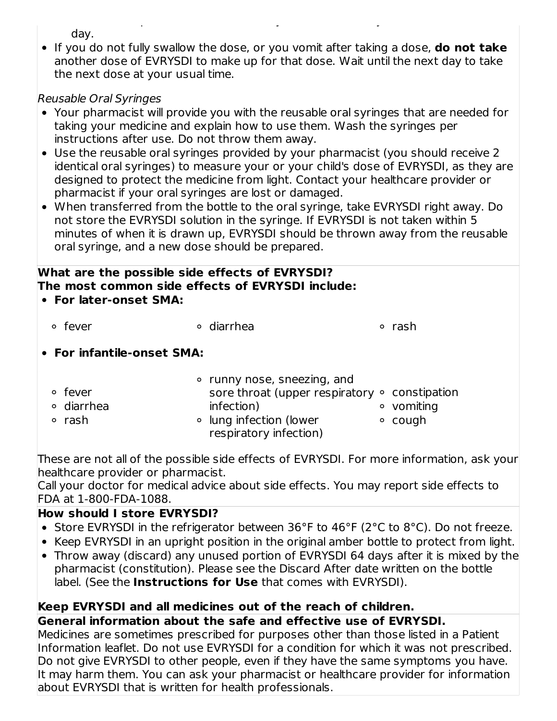day.

If you do not fully swallow the dose, or you vomit after taking a dose, **do not take** another dose of EVRYSDI to make up for that dose. Wait until the next day to take the next dose at your usual time.

EVRYSDI, skip the missed dose. Take your next dose at your usual time the next

### Reusable Oral Syringes

- Your pharmacist will provide you with the reusable oral syringes that are needed for taking your medicine and explain how to use them. Wash the syringes per instructions after use. Do not throw them away.
- Use the reusable oral syringes provided by your pharmacist (you should receive 2 identical oral syringes) to measure your or your child's dose of EVRYSDI, as they are designed to protect the medicine from light. Contact your healthcare provider or pharmacist if your oral syringes are lost or damaged.
- When transferred from the bottle to the oral syringe, take EVRYSDI right away. Do not store the EVRYSDI solution in the syringe. If EVRYSDI is not taken within 5 minutes of when it is drawn up, EVRYSDI should be thrown away from the reusable oral syringe, and a new dose should be prepared.

#### **What are the possible side effects of EVRYSDI? The most common side effects of EVRYSDI include: For later-onset SMA:**

| ° fever                    | • diarrhea                  | ∘ rash                                              |
|----------------------------|-----------------------------|-----------------------------------------------------|
| • For infantile-onset SMA: |                             |                                                     |
|                            | • runny nose, sneezing, and |                                                     |
| • fever                    |                             | sore throat (upper respiratory $\circ$ constipation |
| ∘ diarrhea                 | infection)                  | • vomiting                                          |
| ∘ rash                     | ○ lung infection (lower     | cough<br>$\circ$                                    |

These are not all of the possible side effects of EVRYSDI. For more information, ask your healthcare provider or pharmacist.

Call your doctor for medical advice about side effects. You may report side effects to FDA at 1-800-FDA-1088.

respiratory infection)

## **How should I store EVRYSDI?**

- Store EVRYSDI in the refrigerator between 36°F to 46°F (2°C to 8°C). Do not freeze.
- Keep EVRYSDI in an upright position in the original amber bottle to protect from light.
- Throw away (discard) any unused portion of EVRYSDI 64 days after it is mixed by the pharmacist (constitution). Please see the Discard After date written on the bottle label. (See the **Instructions for Use** that comes with EVRYSDI).

### **Keep EVRYSDI and all medicines out of the reach of children.**

### **General information about the safe and effective use of EVRYSDI.**

Medicines are sometimes prescribed for purposes other than those listed in a Patient Information leaflet. Do not use EVRYSDI for a condition for which it was not prescribed. Do not give EVRYSDI to other people, even if they have the same symptoms you have. It may harm them. You can ask your pharmacist or healthcare provider for information about EVRYSDI that is written for health professionals.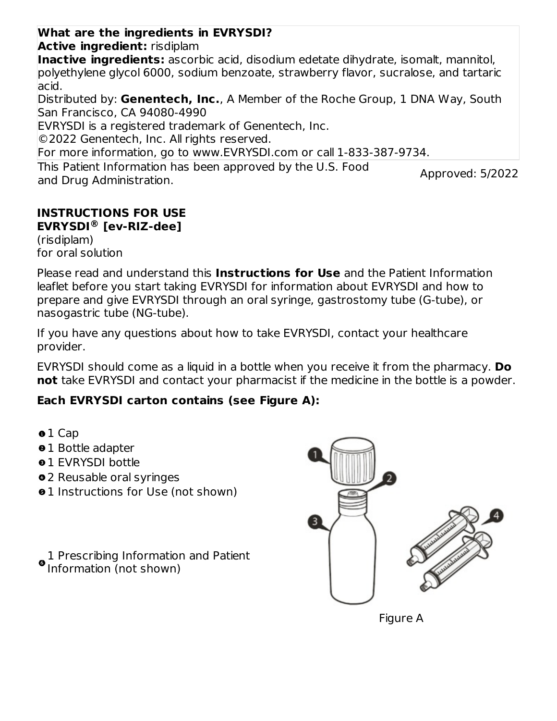#### This Patient Information has been approved by the U.S. Food **What are the ingredients in EVRYSDI? Active ingredient:** risdiplam **Inactive ingredients:** ascorbic acid, disodium edetate dihydrate, isomalt, mannitol, polyethylene glycol 6000, sodium benzoate, strawberry flavor, sucralose, and tartaric acid. Distributed by: **Genentech, Inc.**, A Member of the Roche Group, 1 DNA Way, South San Francisco, CA 94080-4990 EVRYSDI is a registered trademark of Genentech, Inc. ©2022 Genentech, Inc. All rights reserved. For more information, go to www.EVRYSDI.com or call 1-833-387-9734.

and Drug Administration.

Approved: 5/2022

#### **INSTRUCTIONS FOR USE EVRYSDI [ev-RIZ-dee] ®**

(risdiplam) for oral solution

Please read and understand this **Instructions for Use** and the Patient Information leaflet before you start taking EVRYSDI for information about EVRYSDI and how to prepare and give EVRYSDI through an oral syringe, gastrostomy tube (G-tube), or nasogastric tube (NG-tube).

If you have any questions about how to take EVRYSDI, contact your healthcare provider.

EVRYSDI should come as a liquid in a bottle when you receive it from the pharmacy. **Do not** take EVRYSDI and contact your pharmacist if the medicine in the bottle is a powder.

## **Each EVRYSDI carton contains (see Figure A):**

- $01$  Cap
- $01$  Bottle adapter
- **01 EVRYSDI bottle**
- 2 Reusable oral syringes
- $\bullet$  **1** Instructions for Use (not shown)

1 Prescribing Information and Patient Information (not shown)

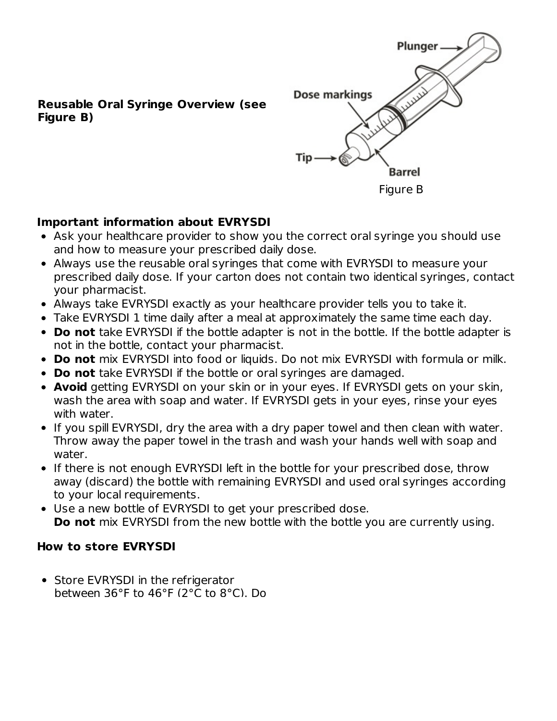

#### **Reusable Oral Syringe Overview (see Figure B)**

### **Important information about EVRYSDI**

- Ask your healthcare provider to show you the correct oral syringe you should use and how to measure your prescribed daily dose.
- Always use the reusable oral syringes that come with EVRYSDI to measure your prescribed daily dose. If your carton does not contain two identical syringes, contact your pharmacist.
- Always take EVRYSDI exactly as your healthcare provider tells you to take it.
- Take EVRYSDI 1 time daily after a meal at approximately the same time each day.
- **Do not** take EVRYSDI if the bottle adapter is not in the bottle. If the bottle adapter is not in the bottle, contact your pharmacist.
- **Do not** mix EVRYSDI into food or liquids. Do not mix EVRYSDI with formula or milk.
- **Do not** take EVRYSDI if the bottle or oral syringes are damaged.
- **Avoid** getting EVRYSDI on your skin or in your eyes. If EVRYSDI gets on your skin, wash the area with soap and water. If EVRYSDI gets in your eyes, rinse your eyes with water.
- If you spill EVRYSDI, dry the area with a dry paper towel and then clean with water. Throw away the paper towel in the trash and wash your hands well with soap and water.
- If there is not enough EVRYSDI left in the bottle for your prescribed dose, throw away (discard) the bottle with remaining EVRYSDI and used oral syringes according to your local requirements.
- Use a new bottle of EVRYSDI to get your prescribed dose. **Do not** mix EVRYSDI from the new bottle with the bottle you are currently using.

#### **How to store EVRYSDI**

• Store EVRYSDI in the refrigerator between 36°F to 46°F (2°C to 8°C). Do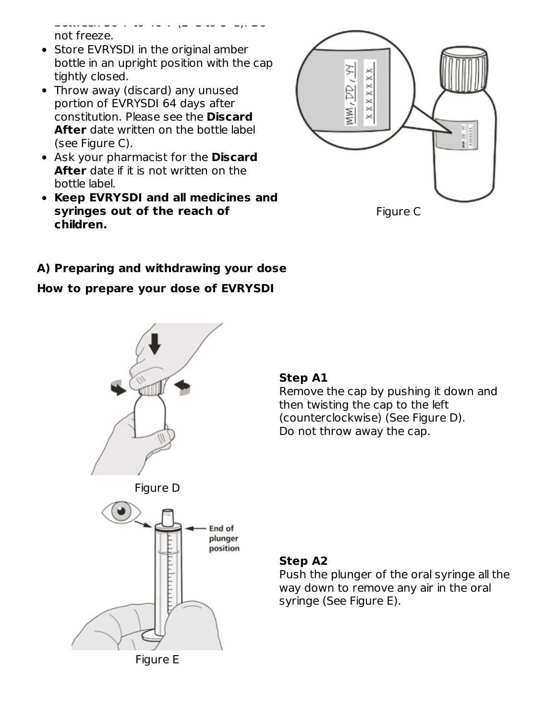between 36°F to 46°F (2°C to 8°C). Do not freeze.

- Store EVRYSDI in the original amber bottle in an upright position with the cap tightly closed.
- Throw away (discard) any unused portion of EVRYSDI 64 days after constitution. Please see the **Discard After** date written on the bottle label (see Figure C).
- Ask your pharmacist for the **Discard After** date if it is not written on the bottle label.
- **Keep EVRYSDI and all medicines and syringes out of the reach of children.**



Figure C

## **A) Preparing and withdrawing your dose**

#### **How to prepare your dose of EVRYSDI**



### **Step A1**

Remove the cap by pushing it down and then twisting the cap to the left (counterclockwise) (See Figure D). Do not throw away the cap.



# End of plunger position

Figure E

#### **Step A2**

Push the plunger of the oral syringe all the way down to remove any air in the oral syringe (See Figure E).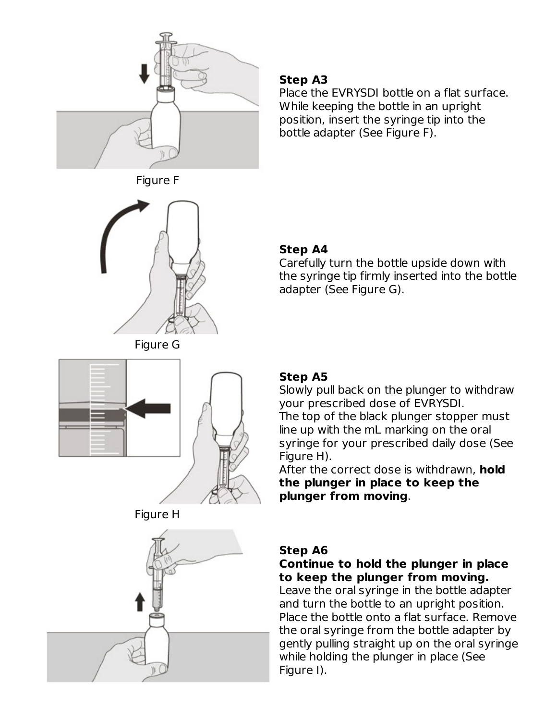











#### **Step A3**

Place the EVRYSDI bottle on a flat surface. While keeping the bottle in an upright position, insert the syringe tip into the bottle adapter (See Figure F).

### **Step A4**

Carefully turn the bottle upside down with the syringe tip firmly inserted into the bottle adapter (See Figure G).

## **Step A5**

Slowly pull back on the plunger to withdraw your prescribed dose of EVRYSDI. The top of the black plunger stopper must line up with the mL marking on the oral syringe for your prescribed daily dose (See Figure H).

After the correct dose is withdrawn, **hold the plunger in place to keep the plunger from moving**.

## **Step A6**

### **Continue to hold the plunger in place to keep the plunger from moving.**

Leave the oral syringe in the bottle adapter and turn the bottle to an upright position. Place the bottle onto a flat surface. Remove the oral syringe from the bottle adapter by gently pulling straight up on the oral syringe while holding the plunger in place (See Figure I).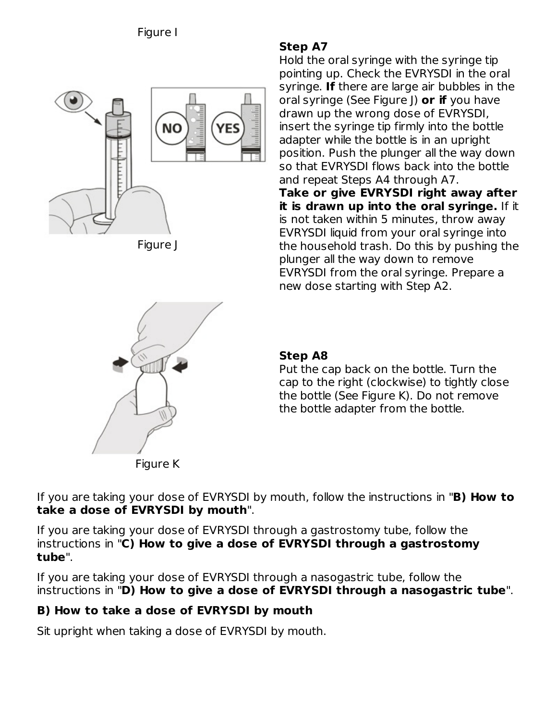

Figure J



## **Step A8**

Put the cap back on the bottle. Turn the cap to the right (clockwise) to tightly close the bottle (See Figure K). Do not remove the bottle adapter from the bottle.

If you are taking your dose of EVRYSDI by mouth, follow the instructions in "**B) How to take a dose of EVRYSDI by mouth**".

If you are taking your dose of EVRYSDI through a gastrostomy tube, follow the instructions in "**C) How to give a dose of EVRYSDI through a gastrostomy tube**".

If you are taking your dose of EVRYSDI through a nasogastric tube, follow the instructions in "**D) How to give a dose of EVRYSDI through a nasogastric tube**".

## **B) How to take a dose of EVRYSDI by mouth**

Sit upright when taking a dose of EVRYSDI by mouth.

## **Step A7**

Hold the oral syringe with the syringe tip pointing up. Check the EVRYSDI in the oral syringe. **If** there are large air bubbles in the oral syringe (See Figure J) **or if** you have drawn up the wrong dose of EVRYSDI, insert the syringe tip firmly into the bottle adapter while the bottle is in an upright position. Push the plunger all the way down so that EVRYSDI flows back into the bottle and repeat Steps A4 through A7. **Take or give EVRYSDI right away after it is drawn up into the oral syringe.** If it is not taken within 5 minutes, throw away EVRYSDI liquid from your oral syringe into the household trash. Do this by pushing the plunger all the way down to remove EVRYSDI from the oral syringe. Prepare a new dose starting with Step A2.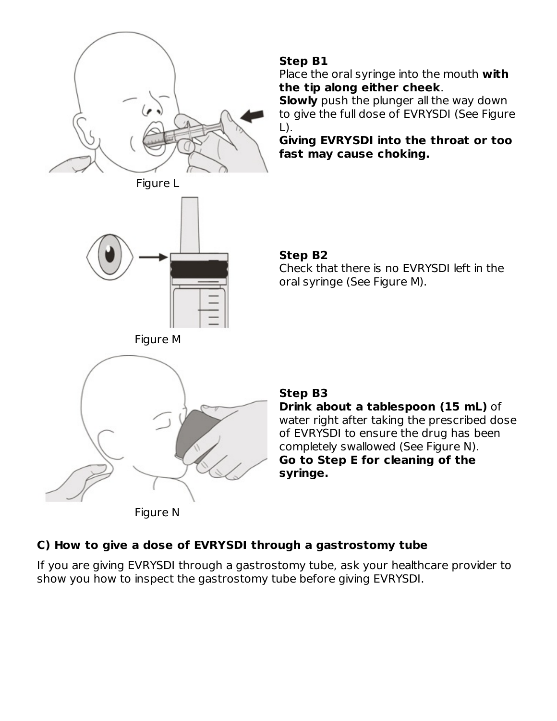

#### **Step B1**

Place the oral syringe into the mouth **with the tip along either cheek**.

**Slowly** push the plunger all the way down to give the full dose of EVRYSDI (See Figure  $L$ ).

**Giving EVRYSDI into the throat or too fast may cause choking.**





#### **Step B2**

Check that there is no EVRYSDI left in the oral syringe (See Figure M).





### **Step B3**

**Drink about a tablespoon (15 mL)** of water right after taking the prescribed dose of EVRYSDI to ensure the drug has been completely swallowed (See Figure N). **Go to Step E for cleaning of the syringe.**

# **C) How to give a dose of EVRYSDI through a gastrostomy tube**

If you are giving EVRYSDI through a gastrostomy tube, ask your healthcare provider to show you how to inspect the gastrostomy tube before giving EVRYSDI.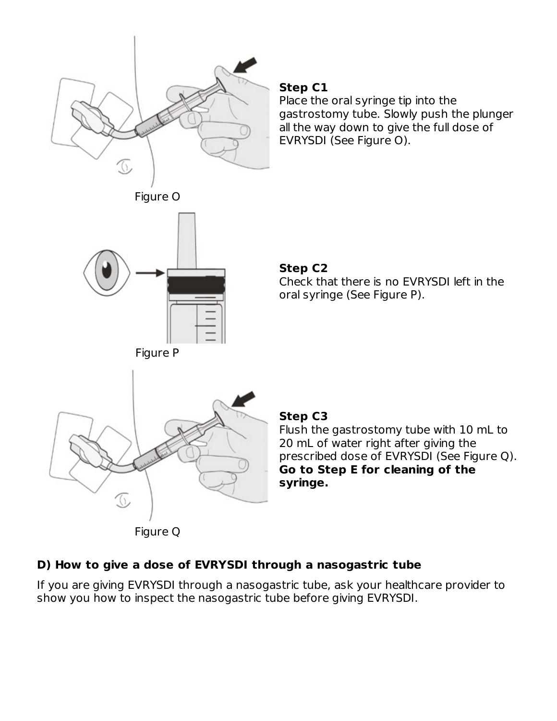

#### **Step C1**

Place the oral syringe tip into the gastrostomy tube. Slowly push the plunger all the way down to give the full dose of EVRYSDI (See Figure O).

#### **Step C2**

Check that there is no EVRYSDI left in the oral syringe (See Figure P).

#### **Step C3**

Flush the gastrostomy tube with 10 mL to 20 mL of water right after giving the prescribed dose of EVRYSDI (See Figure Q). **Go to Step E for cleaning of the syringe.**

### **D) How to give a dose of EVRYSDI through a nasogastric tube**

If you are giving EVRYSDI through a nasogastric tube, ask your healthcare provider to show you how to inspect the nasogastric tube before giving EVRYSDI.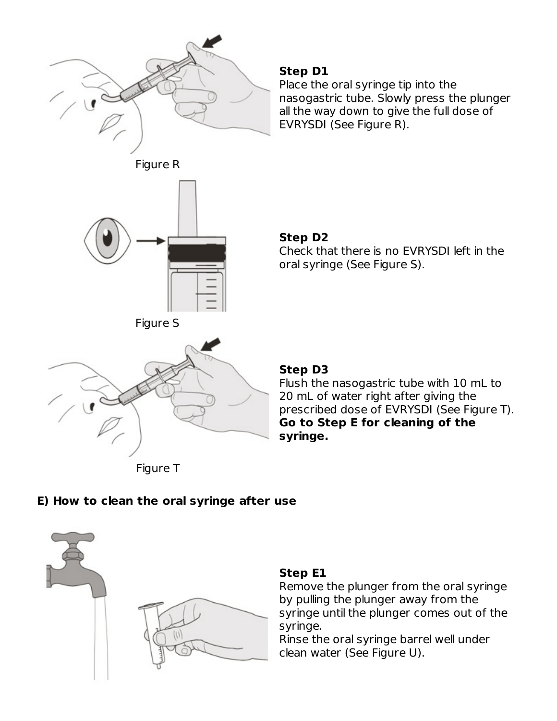

#### **Step D1**

Place the oral syringe tip into the nasogastric tube. Slowly press the plunger all the way down to give the full dose of EVRYSDI (See Figure R).



#### **Step D2**

Check that there is no EVRYSDI left in the oral syringe (See Figure S).



### **Step D3**

Flush the nasogastric tube with 10 mL to 20 mL of water right after giving the prescribed dose of EVRYSDI (See Figure T). **Go to Step E for cleaning of the syringe.**

Figure T

### **E) How to clean the oral syringe after use**



### **Step E1**

Remove the plunger from the oral syringe by pulling the plunger away from the syringe until the plunger comes out of the syringe.

Rinse the oral syringe barrel well under clean water (See Figure U).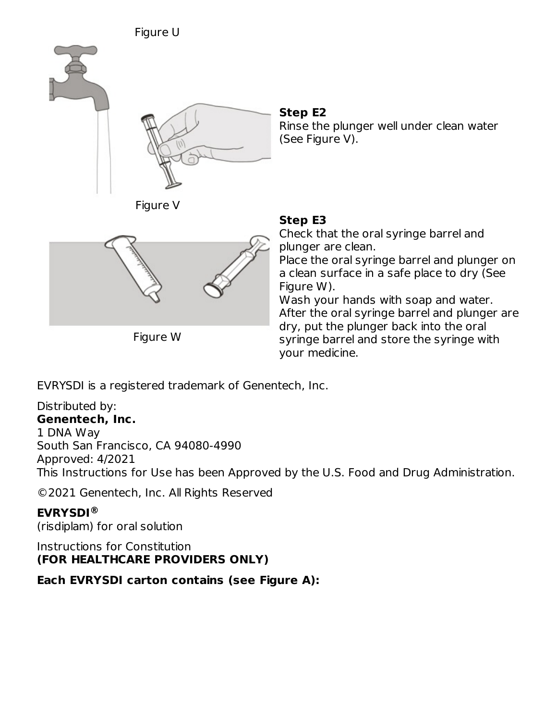

#### **Step E2**

Rinse the plunger well under clean water (See Figure V).





Figure W

### **Step E3**

Check that the oral syringe barrel and plunger are clean. Place the oral syringe barrel and plunger on a clean surface in a safe place to dry (See Figure W). Wash your hands with soap and water. After the oral syringe barrel and plunger are

dry, put the plunger back into the oral syringe barrel and store the syringe with your medicine.

EVRYSDI is a registered trademark of Genentech, Inc.

#### Distributed by: **Genentech, Inc.**

# 1 DNA Way

South San Francisco, CA 94080-4990

Approved: 4/2021

This Instructions for Use has been Approved by the U.S. Food and Drug Administration.

©2021 Genentech, Inc. All Rights Reserved

## **EVRYSDI ®**

(risdiplam) for oral solution

Instructions for Constitution **(FOR HEALTHCARE PROVIDERS ONLY)**

**Each EVRYSDI carton contains (see Figure A):**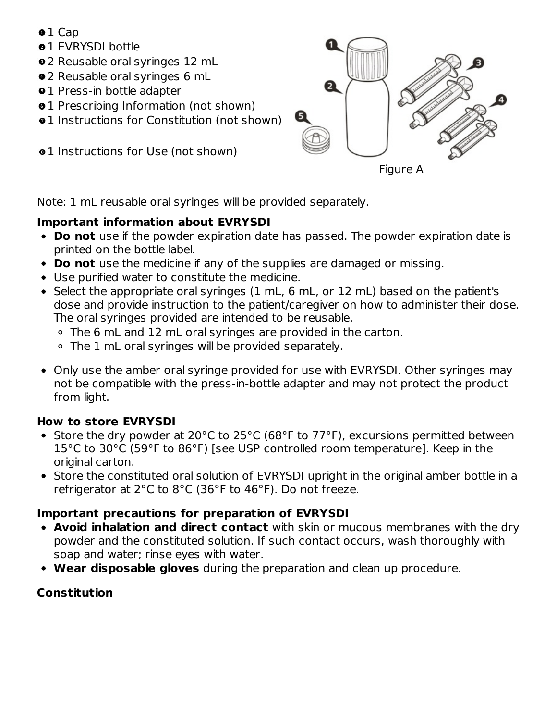- o 1 Cap
- **01 EVRYSDI bottle**
- 2 Reusable oral syringes 12 mL
- 2 Reusable oral syringes 6 mL
- **01 Press-in bottle adapter**
- $\bullet$  **1** Prescribing Information (not shown)
- $\bullet$  **1** Instructions for Constitution (not shown)
- $01$  **Instructions for Use (not shown)**



Note: 1 mL reusable oral syringes will be provided separately.

## **Important information about EVRYSDI**

- **Do not** use if the powder expiration date has passed. The powder expiration date is printed on the bottle label.
- **Do not** use the medicine if any of the supplies are damaged or missing.
- Use purified water to constitute the medicine.
- Select the appropriate oral syringes (1 mL, 6 mL, or 12 mL) based on the patient's dose and provide instruction to the patient/caregiver on how to administer their dose. The oral syringes provided are intended to be reusable.
	- The 6 mL and 12 mL oral syringes are provided in the carton.
	- The 1 mL oral syringes will be provided separately.
- Only use the amber oral syringe provided for use with EVRYSDI. Other syringes may not be compatible with the press-in-bottle adapter and may not protect the product from light.

## **How to store EVRYSDI**

- Store the dry powder at 20°C to 25°C (68°F to 77°F), excursions permitted between 15°C to 30°C (59°F to 86°F) [see USP controlled room temperature]. Keep in the original carton.
- Store the constituted oral solution of EVRYSDI upright in the original amber bottle in a refrigerator at 2°C to 8°C (36°F to 46°F). Do not freeze.

## **Important precautions for preparation of EVRYSDI**

- **Avoid inhalation and direct contact** with skin or mucous membranes with the dry powder and the constituted solution. If such contact occurs, wash thoroughly with soap and water; rinse eyes with water.
- **Wear disposable gloves** during the preparation and clean up procedure.

## **Constitution**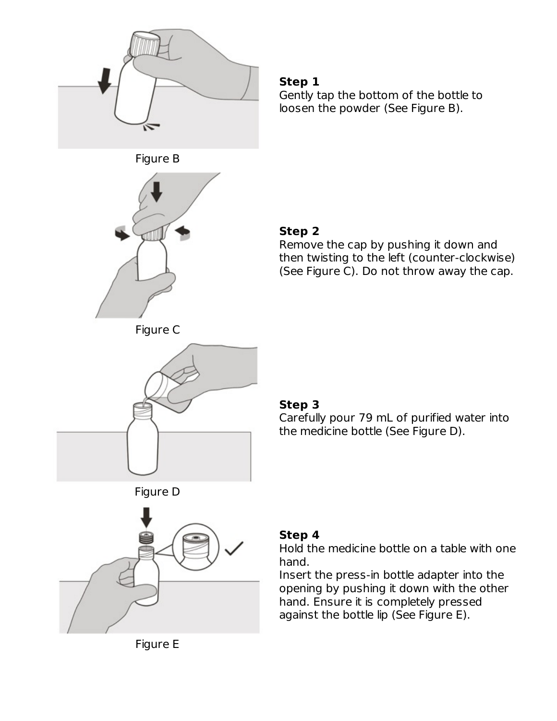

#### **Step 1**

Gently tap the bottom of the bottle to loosen the powder (See Figure B).





## **Step 2**

Remove the cap by pushing it down and then twisting to the left (counter-clockwise) (See Figure C). Do not throw away the cap.





### **Step 3**

Carefully pour 79 mL of purified water into the medicine bottle (See Figure D).





# **Step 4**

Hold the medicine bottle on a table with one hand.

Insert the press-in bottle adapter into the opening by pushing it down with the other hand. Ensure it is completely pressed against the bottle lip (See Figure E).

Figure E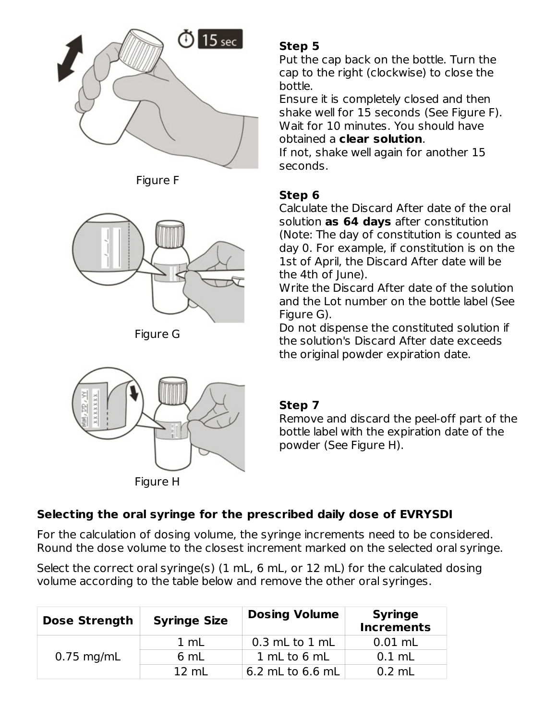

Figure F



Figure G



## **Step 5**

Put the cap back on the bottle. Turn the cap to the right (clockwise) to close the bottle.

Ensure it is completely closed and then shake well for 15 seconds (See Figure F). Wait for 10 minutes. You should have obtained a **clear solution**.

If not, shake well again for another 15 seconds.

## **Step 6**

Calculate the Discard After date of the oral solution **as 64 days** after constitution (Note: The day of constitution is counted as day 0. For example, if constitution is on the 1st of April, the Discard After date will be the 4th of June).

Write the Discard After date of the solution and the Lot number on the bottle label (See Figure G).

Do not dispense the constituted solution if the solution's Discard After date exceeds the original powder expiration date.

### **Step 7**

Remove and discard the peel-off part of the bottle label with the expiration date of the powder (See Figure H).

# **Selecting the oral syringe for the prescribed daily dose of EVRYSDI**

For the calculation of dosing volume, the syringe increments need to be considered. Round the dose volume to the closest increment marked on the selected oral syringe.

Select the correct oral syringe(s) (1 mL, 6 mL, or 12 mL) for the calculated dosing volume according to the table below and remove the other oral syringes.

| <b>Dose Strength</b> | <b>Syringe Size</b> | <b>Dosing Volume</b> | <b>Syringe</b><br><b>Increments</b> |
|----------------------|---------------------|----------------------|-------------------------------------|
|                      | 1 mL                | $0.3$ mL to $1$ mL   | $0.01$ mL                           |
| $0.75$ mg/mL         | 6 mL                | 1 mL to 6 mL         | $0.1$ mL                            |
|                      | $12 \text{ mL}$     | 6.2 mL to 6.6 mL     | $0.2 \text{ mL}$                    |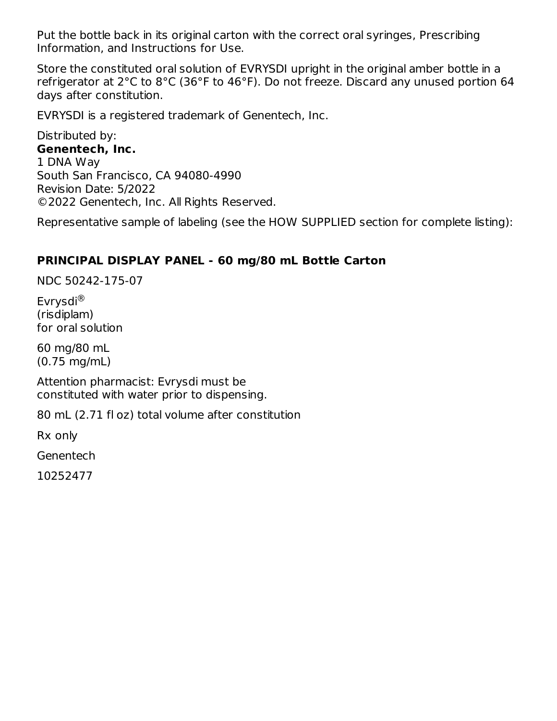Put the bottle back in its original carton with the correct oral syringes, Prescribing Information, and Instructions for Use.

Store the constituted oral solution of EVRYSDI upright in the original amber bottle in a refrigerator at 2°C to 8°C (36°F to 46°F). Do not freeze. Discard any unused portion 64 days after constitution.

EVRYSDI is a registered trademark of Genentech, Inc.

Distributed by: **Genentech, Inc.** 1 DNA Way South San Francisco, CA 94080-4990 Revision Date: 5/2022 ©2022 Genentech, Inc. All Rights Reserved.

Representative sample of labeling (see the HOW SUPPLIED section for complete listing):

### **PRINCIPAL DISPLAY PANEL - 60 mg/80 mL Bottle Carton**

NDC 50242-175-07

Evrysdi ®(risdiplam) for oral solution

60 mg/80 mL (0.75 mg/mL)

Attention pharmacist: Evrysdi must be constituted with water prior to dispensing.

80 mL (2.71 fl oz) total volume after constitution

Rx only

**Genentech** 

10252477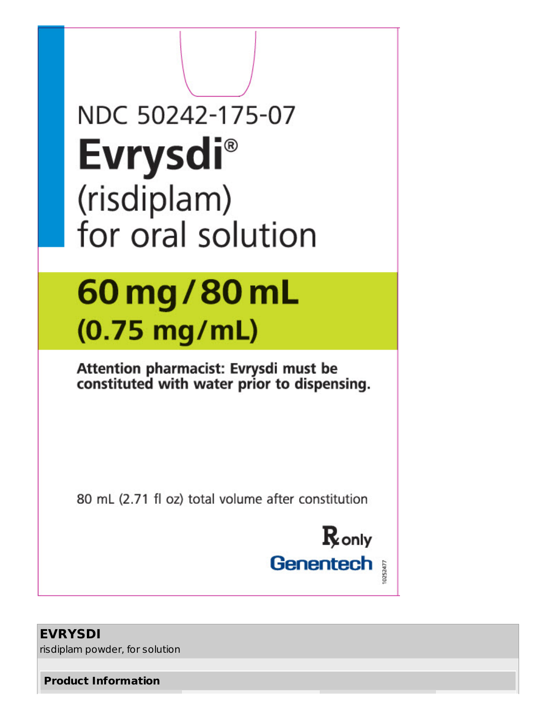| NDC 50242-175-07                                                                     |  |
|--------------------------------------------------------------------------------------|--|
| <b>Evrysdi®</b>                                                                      |  |
| (risdiplam)                                                                          |  |
| for oral solution                                                                    |  |
| 60 mg/80 mL                                                                          |  |
| $(0.75$ mg/mL)                                                                       |  |
| Attention pharmacist: Evrysdi must be<br>constituted with water prior to dispensing. |  |
|                                                                                      |  |
| 80 mL (2.71 fl oz) total volume after constitution                                   |  |
| $\mathbf R$ only                                                                     |  |
| <b>Genentech</b><br>10252477                                                         |  |
| <b>EVRYSDI</b>                                                                       |  |

risdiplam powder, for solution

**Product Information**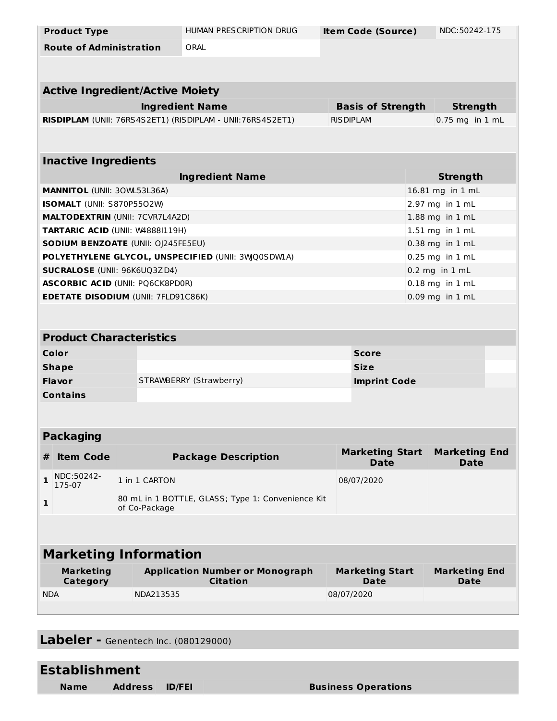| <b>Product Type</b>                                |               | HUMAN PRESCRIPTION DRUG                                    | <b>Item Code (Source)</b>             |                 | NDC:50242-175                       |  |  |  |  |
|----------------------------------------------------|---------------|------------------------------------------------------------|---------------------------------------|-----------------|-------------------------------------|--|--|--|--|
| <b>Route of Administration</b>                     |               | ORAL                                                       |                                       |                 |                                     |  |  |  |  |
|                                                    |               |                                                            |                                       |                 |                                     |  |  |  |  |
|                                                    |               |                                                            |                                       |                 |                                     |  |  |  |  |
| <b>Active Ingredient/Active Moiety</b>             |               |                                                            |                                       |                 |                                     |  |  |  |  |
|                                                    |               | <b>Ingredient Name</b>                                     | <b>Basis of Strength</b>              |                 | <b>Strength</b>                     |  |  |  |  |
|                                                    |               | RISDIPLAM (UNII: 76RS4S2ET1) (RISDIPLAM - UNII:76RS4S2ET1) | <b>RISDIPLAM</b>                      |                 | $0.75$ mg in $1$ mL                 |  |  |  |  |
|                                                    |               |                                                            |                                       |                 |                                     |  |  |  |  |
| <b>Inactive Ingredients</b>                        |               |                                                            |                                       |                 |                                     |  |  |  |  |
|                                                    |               |                                                            |                                       | <b>Strength</b> |                                     |  |  |  |  |
| <b>MANNITOL (UNII: 30WL53L36A)</b>                 |               | <b>Ingredient Name</b>                                     |                                       |                 | 16.81 mg in 1 mL                    |  |  |  |  |
| ISOMALT (UNII: S870P5502W)                         |               |                                                            | 2.97 mg in 1 mL                       |                 |                                     |  |  |  |  |
| <b>MALTODEXTRIN (UNII: 7CVR7L4A2D)</b>             |               |                                                            |                                       |                 | 1.88 mg in 1 mL                     |  |  |  |  |
| TARTARIC ACID (UNII: W4888I119H)                   |               |                                                            |                                       |                 | 1.51 mg in 1 mL                     |  |  |  |  |
| <b>SODIUM BENZOATE (UNII: OJ245FE5EU)</b>          |               |                                                            | 0.38 mg in 1 mL                       |                 |                                     |  |  |  |  |
| POLYETHYLENE GLYCOL, UNSPECIFIED (UNII: 3WQ0SDWLA) |               |                                                            | 0.25 mg in 1 mL                       |                 |                                     |  |  |  |  |
| <b>SUCRALOSE (UNII: 96K6UQ3ZD4)</b>                |               |                                                            |                                       |                 | $0.2$ mg in $1$ mL                  |  |  |  |  |
| <b>ASCORBIC ACID (UNII: PQ6CK8PD0R)</b>            |               |                                                            | $0.18$ mg in $1$ mL                   |                 |                                     |  |  |  |  |
| <b>EDETATE DISODIUM (UNII: 7FLD91C86K)</b>         |               |                                                            | 0.09 mg in 1 mL                       |                 |                                     |  |  |  |  |
|                                                    |               |                                                            |                                       |                 |                                     |  |  |  |  |
| <b>Product Characteristics</b>                     |               |                                                            |                                       |                 |                                     |  |  |  |  |
| Color                                              |               |                                                            | <b>Score</b>                          |                 |                                     |  |  |  |  |
| <b>Shape</b>                                       |               |                                                            | <b>Size</b>                           |                 |                                     |  |  |  |  |
| Flavor                                             |               | STRAWBERRY (Strawberry)                                    | <b>Imprint Code</b>                   |                 |                                     |  |  |  |  |
| <b>Contains</b>                                    |               |                                                            |                                       |                 |                                     |  |  |  |  |
|                                                    |               |                                                            |                                       |                 |                                     |  |  |  |  |
| <b>Packaging</b>                                   |               |                                                            |                                       |                 |                                     |  |  |  |  |
| <b>Item Code</b><br>#                              |               | <b>Package Description</b>                                 | <b>Marketing Start</b><br><b>Date</b> |                 | <b>Marketing End</b><br><b>Date</b> |  |  |  |  |
| NDC:50242-<br>1<br>175-07                          | 1 in 1 CARTON |                                                            | 08/07/2020                            |                 |                                     |  |  |  |  |
|                                                    |               | 80 mL in 1 BOTTLE, GLASS; Type 1: Convenience Kit          |                                       |                 |                                     |  |  |  |  |
| $\mathbf{1}$                                       | of Co-Package |                                                            |                                       |                 |                                     |  |  |  |  |
|                                                    |               |                                                            |                                       |                 |                                     |  |  |  |  |
| <b>Marketing Information</b>                       |               |                                                            |                                       |                 |                                     |  |  |  |  |
| <b>Marketing</b><br>Category                       |               | <b>Application Number or Monograph</b><br><b>Citation</b>  | <b>Marketing Start</b><br><b>Date</b> |                 | <b>Marketing End</b><br>Date        |  |  |  |  |
| <b>NDA</b>                                         | NDA213535     |                                                            | 08/07/2020                            |                 |                                     |  |  |  |  |
|                                                    |               |                                                            |                                       |                 |                                     |  |  |  |  |
|                                                    |               |                                                            |                                       |                 |                                     |  |  |  |  |

**Labeler -** Genentech Inc. (080129000)

| <b>Establishment</b> |                |  |                            |  |  |  |  |
|----------------------|----------------|--|----------------------------|--|--|--|--|
| <b>Name</b>          | Address ID/FEI |  | <b>Business Operations</b> |  |  |  |  |